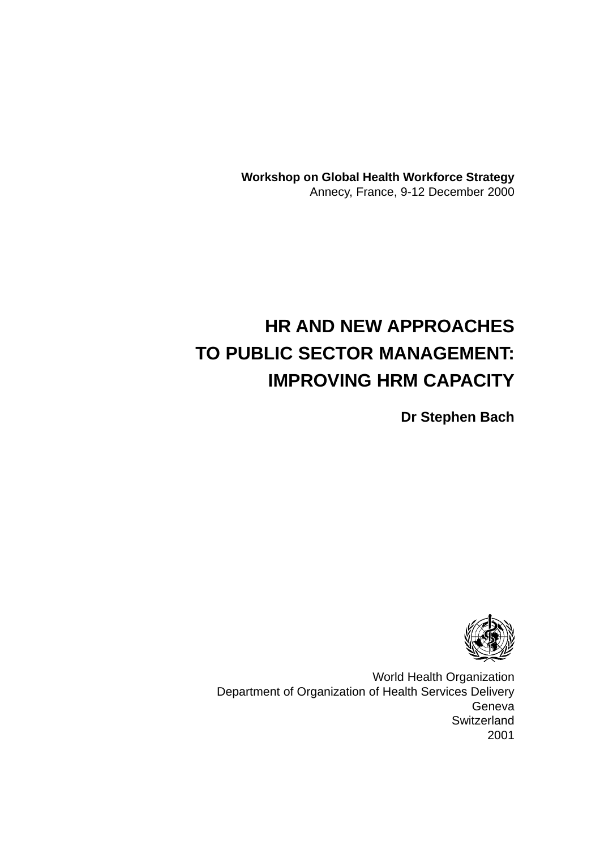**Workshop on Global Health Workforce Strategy** Annecy, France, 9-12 December 2000

# **HR AND NEW APPROACHES TO PUBLIC SECTOR MANAGEMENT: IMPROVING HRM CAPACITY**

**Dr Stephen Bach**



World Health Organization Department of Organization of Health Services Delivery Geneva **Switzerland** 2001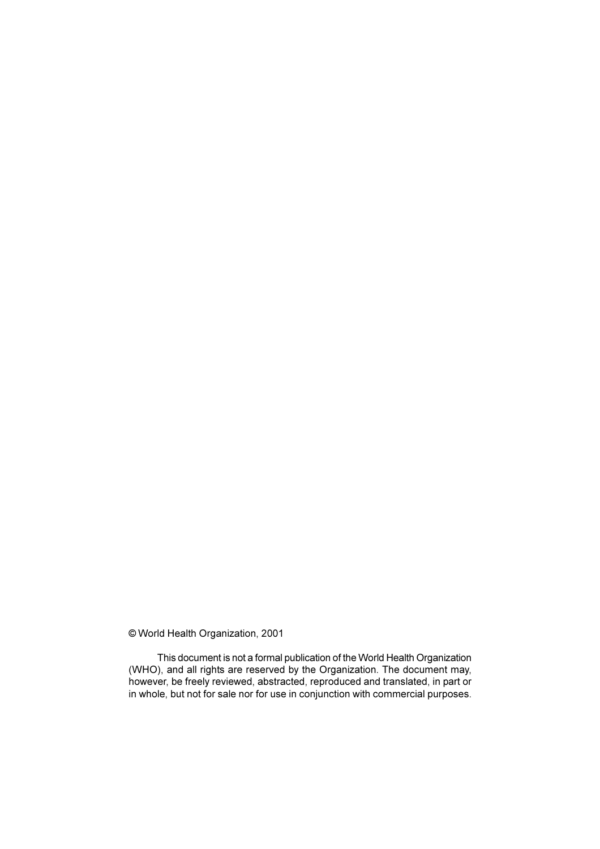© World Health Organization, 2001

This document is not a formal publication of the World Health Organization (WHO), and all rights are reserved by the Organization. The document may, however, be freely reviewed, abstracted, reproduced and translated, in part or in whole, but not for sale nor for use in conjunction with commercial purposes.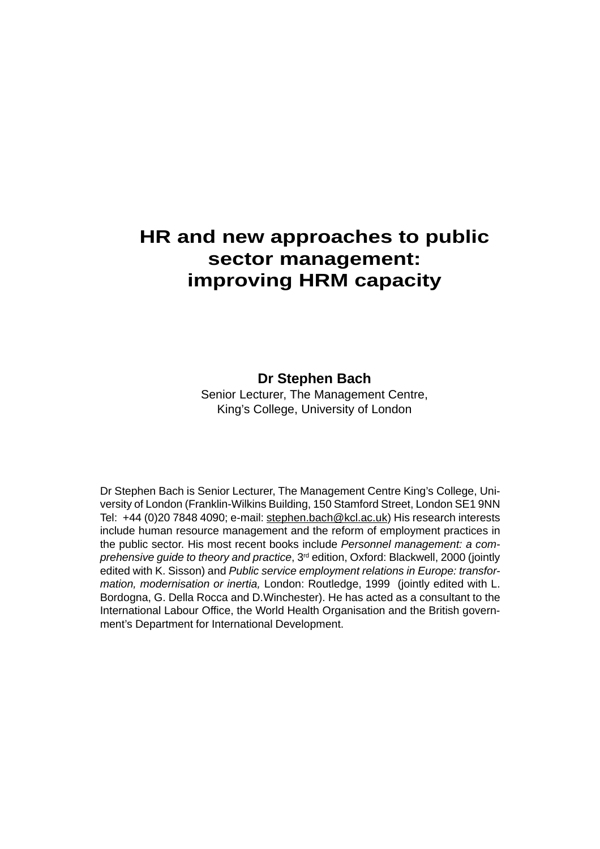## **HR and new approaches to public sector management: improving HRM capacity**

## **Dr Stephen Bach**

Senior Lecturer, The Management Centre, King's College, University of London

Dr Stephen Bach is Senior Lecturer, The Management Centre King's College, University of London (Franklin-Wilkins Building, 150 Stamford Street, London SE1 9NN Tel: +44 (0)20 7848 4090; e-mail: stephen.bach@kcl.ac.uk) His research interests include human resource management and the reform of employment practices in the public sector. His most recent books include Personnel management: a comprehensive guide to theory and practice, 3<sup>rd</sup> edition, Oxford: Blackwell, 2000 (jointly edited with K. Sisson) and Public service employment relations in Europe: transformation, modernisation or inertia, London: Routledge, 1999 (jointly edited with L. Bordogna, G. Della Rocca and D.Winchester). He has acted as a consultant to the International Labour Office, the World Health Organisation and the British government's Department for International Development.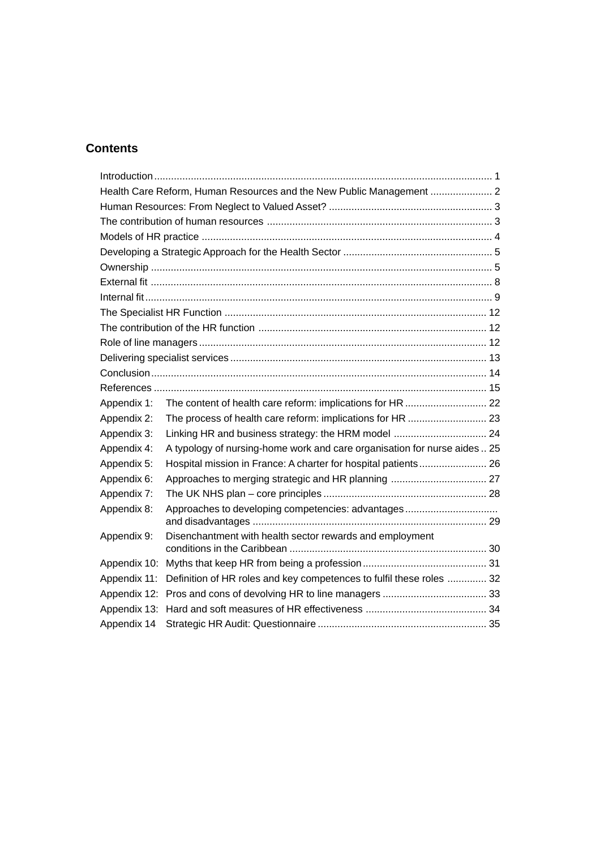## **Contents**

| Health Care Reform, Human Resources and the New Public Management  2 |                                                                           |  |  |
|----------------------------------------------------------------------|---------------------------------------------------------------------------|--|--|
|                                                                      |                                                                           |  |  |
|                                                                      |                                                                           |  |  |
|                                                                      |                                                                           |  |  |
|                                                                      |                                                                           |  |  |
|                                                                      |                                                                           |  |  |
|                                                                      |                                                                           |  |  |
|                                                                      |                                                                           |  |  |
|                                                                      |                                                                           |  |  |
|                                                                      |                                                                           |  |  |
|                                                                      |                                                                           |  |  |
|                                                                      |                                                                           |  |  |
|                                                                      |                                                                           |  |  |
|                                                                      |                                                                           |  |  |
| Appendix 1:                                                          |                                                                           |  |  |
| Appendix 2:                                                          | The process of health care reform: implications for HR  23                |  |  |
| Appendix 3:                                                          | Linking HR and business strategy: the HRM model  24                       |  |  |
| Appendix 4:                                                          | A typology of nursing-home work and care organisation for nurse aides  25 |  |  |
| Appendix 5:                                                          | Hospital mission in France: A charter for hospital patients 26            |  |  |
| Appendix 6:                                                          |                                                                           |  |  |
| Appendix 7:                                                          |                                                                           |  |  |
| Appendix 8:                                                          | Approaches to developing competencies: advantages                         |  |  |
| Appendix 9:                                                          | Disenchantment with health sector rewards and employment                  |  |  |
| Appendix 10:                                                         |                                                                           |  |  |
| Appendix 11:                                                         | Definition of HR roles and key competences to fulfil these roles  32      |  |  |
| Appendix 12:                                                         |                                                                           |  |  |
| Appendix 13:                                                         |                                                                           |  |  |
| Appendix 14                                                          |                                                                           |  |  |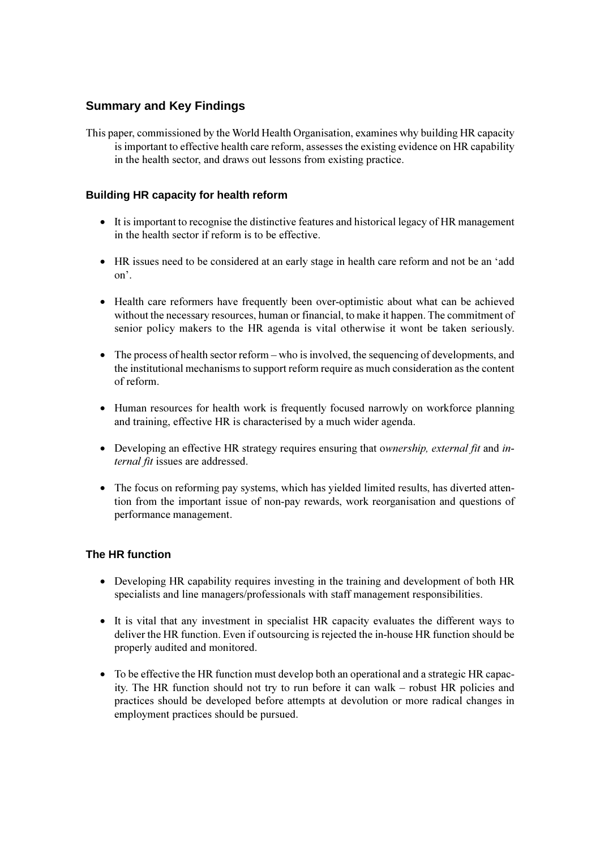## **Summary and Key Findings**

This paper, commissioned by the World Health Organisation, examines why building HR capacity is important to effective health care reform, assesses the existing evidence on HR capability in the health sector, and draws out lessons from existing practice.

## **Building HR capacity for health reform**

- It is important to recognise the distinctive features and historical legacy of HR management in the health sector if reform is to be effective.
- HR issues need to be considered at an early stage in health care reform and not be an 'add  $\alpha$ <sup> $\alpha$ </sup>.
- Health care reformers have frequently been over-optimistic about what can be achieved without the necessary resources, human or financial, to make it happen. The commitment of senior policy makers to the HR agenda is vital otherwise it wont be taken seriously.
- $\bullet$  The process of health sector reform who is involved, the sequencing of developments, and the institutional mechanisms to support reform require as much consideration as the content of reform.
- Human resources for health work is frequently focused narrowly on workforce planning and training, effective HR is characterised by a much wider agenda.
- Developing an effective HR strategy requires ensuring that ownership, external fit and internal fit issues are addressed.
- The focus on reforming pay systems, which has yielded limited results, has diverted attention from the important issue of non-pay rewards, work reorganisation and questions of performance management.

## The HR function

- Developing HR capability requires investing in the training and development of both HR specialists and line managers/professionals with staff management responsibilities.
- It is vital that any investment in specialist HR capacity evaluates the different ways to deliver the HR function. Even if outsourcing is rejected the in-house HR function should be properly audited and monitored.
- To be effective the HR function must develop both an operational and a strategic HR capacity. The HR function should not try to run before it can walk – robust HR policies and practices should be developed before attempts at devolution or more radical changes in employment practices should be pursued.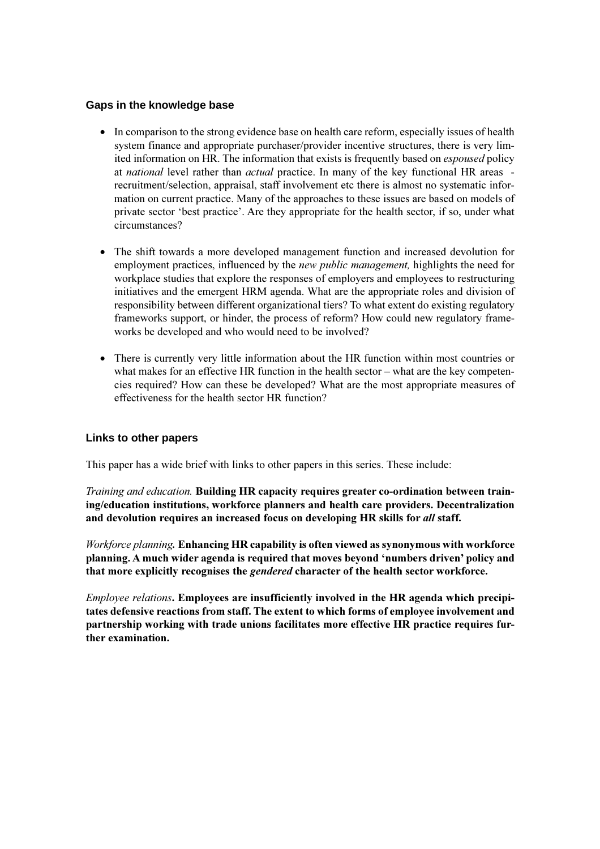### Gaps in the knowledge base

- In comparison to the strong evidence base on health care reform, especially issues of health system finance and appropriate purchaser/provider incentive structures, there is very limited information on HR. The information that exists is frequently based on *espoused* policy at *national* level rather than *actual* practice. In many of the key functional HR areas recruitment/selection, appraisal, staff involvement etc there is almost no systematic information on current practice. Many of the approaches to these issues are based on models of private sector 'best practice'. Are they appropriate for the health sector, if so, under what circumstances?
- The shift towards a more developed management function and increased devolution for employment practices, influenced by the *new public management*, highlights the need for workplace studies that explore the responses of employers and employees to restructuring initiatives and the emergent HRM agenda. What are the appropriate roles and division of responsibility between different organizational tiers? To what extent do existing regulatory frameworks support, or hinder, the process of reform? How could new regulatory frameworks be developed and who would need to be involved?
- There is currently very little information about the HR function within most countries or what makes for an effective HR function in the health sector  $-\omega$  what are the key competencies required? How can these be developed? What are the most appropriate measures of effectiveness for the health sector HR function?

## Links to other papers

This paper has a wide brief with links to other papers in this series. These include:

Training and education. Building HR capacity requires greater co-ordination between training/education institutions, workforce planners and health care providers. Decentralization and devolution requires an increased focus on developing HR skills for all staff.

Workforce planning. Enhancing HR capability is often viewed as synonymous with workforce planning. A much wider agenda is required that moves beyond 'numbers driven' policy and that more explicitly recognises the *gendered* character of the health sector workforce.

*Employee relations.* Employees are insufficiently involved in the HR agenda which precipitates defensive reactions from staff. The extent to which forms of employee involvement and partnership working with trade unions facilitates more effective HR practice requires further examination.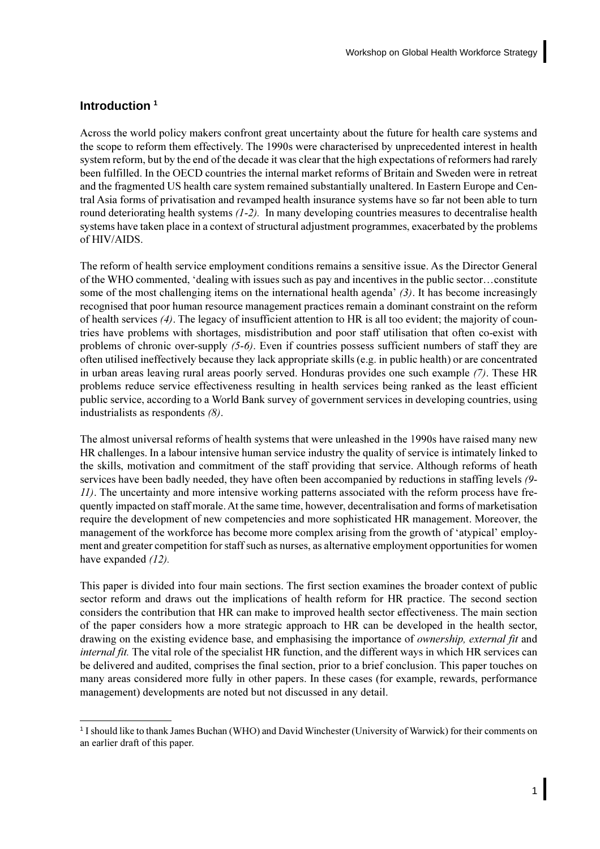## <span id="page-8-0"></span>Introduction<sup>1</sup>

Across the world policy makers confront great uncertainty about the future for health care systems and the scope to reform them effectively. The 1990s were characterised by unprecedented interest in health system reform, but by the end of the decade it was clear that the high expectations of reformers had rarely been fulfilled. In the OECD countries the internal market reforms of Britain and Sweden were in retreat and the fragmented US health care system remained substantially unaltered. In Eastern Europe and Central Asia forms of privatisation and revamped health insurance systems have so far not been able to turn round deteriorating health systems  $(1-2)$ . In many developing countries measures to decentralise health systems have taken place in a context of structural adjustment programmes, exacerbated by the problems of HIV/AIDS.

The reform of health service employment conditions remains a sensitive issue. As the Director General of the WHO commented, 'dealing with issues such as pay and incentives in the public sector...constitute some of the most challenging items on the international health agenda'  $(3)$ . It has become increasingly recognised that poor human resource management practices remain a dominant constraint on the reform of health services  $(4)$ . The legacy of insufficient attention to HR is all too evident; the majority of countries have problems with shortages, misdistribution and poor staff utilisation that often co-exist with problems of chronic over-supply (5-6). Even if countries possess sufficient numbers of staff they are often utilised ineffectively because they lack appropriate skills (e.g. in public health) or are concentrated in urban areas leaving rural areas poorly served. Honduras provides one such example (7). These HR problems reduce service effectiveness resulting in health services being ranked as the least efficient public service, according to a World Bank survey of government services in developing countries, using industrialists as respondents  $(8)$ .

The almost universal reforms of health systems that were unleashed in the 1990s have raised many new HR challenges. In a labour intensive human service industry the quality of service is intimately linked to the skills, motivation and commitment of the staff providing that service. Although reforms of heath services have been badly needed, they have often been accompanied by reductions in staffing levels (9-11). The uncertainty and more intensive working patterns associated with the reform process have frequently impacted on staff morale. At the same time, however, decentralisation and forms of marketisation require the development of new competencies and more sophisticated HR management. Moreover, the management of the workforce has become more complex arising from the growth of 'atypical' employment and greater competition for staff such as nurses, as alternative employment opportunities for women have expanded  $(12)$ .

This paper is divided into four main sections. The first section examines the broader context of public sector reform and draws out the implications of health reform for HR practice. The second section considers the contribution that HR can make to improved health sector effectiveness. The main section of the paper considers how a more strategic approach to HR can be developed in the health sector, drawing on the existing evidence base, and emphasising the importance of *ownership*, external fit and *internal fit.* The vital role of the specialist HR function, and the different ways in which HR services can be delivered and audited, comprises the final section, prior to a brief conclusion. This paper touches on many areas considered more fully in other papers. In these cases (for example, rewards, performance management) developments are noted but not discussed in any detail.

<sup>&</sup>lt;sup>1</sup> I should like to thank James Buchan (WHO) and David Winchester (University of Warwick) for their comments on an earlier draft of this paper.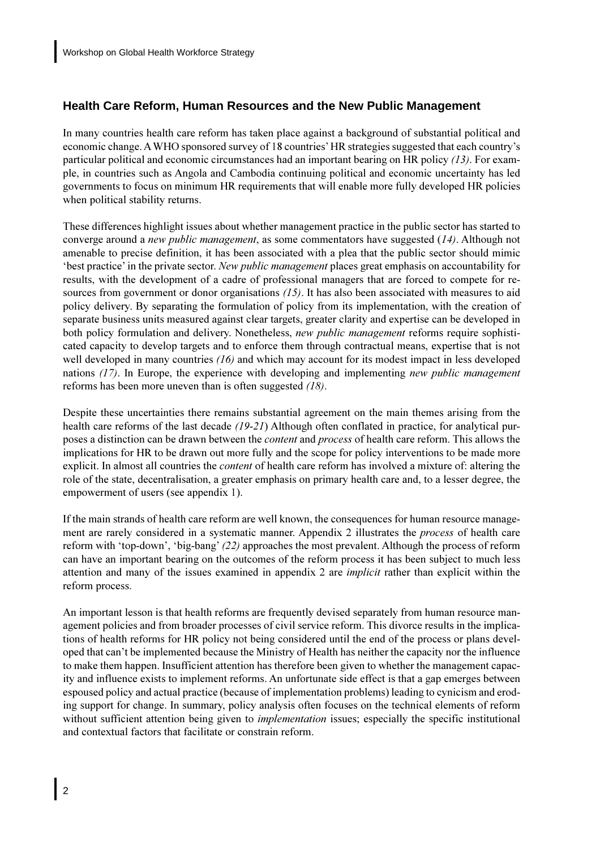## <span id="page-9-0"></span>**Health Care Reform. Human Resources and the New Public Management**

In many countries health care reform has taken place against a background of substantial political and economic change. A WHO sponsored survey of 18 countries' HR strategies suggested that each country's particular political and economic circumstances had an important bearing on HR policy  $(13)$ . For example, in countries such as Angola and Cambodia continuing political and economic uncertainty has led governments to focus on minimum HR requirements that will enable more fully developed HR policies when political stability returns.

These differences highlight issues about whether management practice in the public sector has started to converge around a *new public management*, as some commentators have suggested  $(14)$ . Although not amenable to precise definition, it has been associated with a plea that the public sector should mimic best practice' in the private sector. New public management places great emphasis on accountability for results, with the development of a cadre of professional managers that are forced to compete for resources from government or donor organisations  $(15)$ . It has also been associated with measures to aid policy delivery. By separating the formulation of policy from its implementation, with the creation of separate business units measured against clear targets, greater clarity and expertise can be developed in both policy formulation and delivery. Nonetheless, new public management reforms require sophisticated capacity to develop targets and to enforce them through contractual means, expertise that is not well developed in many countries  $(16)$  and which may account for its modest impact in less developed nations  $(17)$ . In Europe, the experience with developing and implementing *new public management* reforms has been more uneven than is often suggested  $(18)$ .

Despite these uncertainties there remains substantial agreement on the main themes arising from the health care reforms of the last decade  $(19-21)$  Although often conflated in practice, for analytical purposes a distinction can be drawn between the *content* and *process* of health care reform. This allows the implications for HR to be drawn out more fully and the scope for policy interventions to be made more explicit. In almost all countries the *content* of health care reform has involved a mixture of: altering the role of the state, decentralisation, a greater emphasis on primary health care and, to a lesser degree, the empowerment of users (see appendix 1).

If the main strands of health care reform are well known, the consequences for human resource management are rarely considered in a systematic manner. Appendix 2 illustrates the *process* of health care reform with 'top-down', 'big-bang' (22) approaches the most prevalent. Although the process of reform can have an important bearing on the outcomes of the reform process it has been subject to much less attention and many of the issues examined in appendix 2 are *implicit* rather than explicit within the reform process.

An important lesson is that health reforms are frequently devised separately from human resource management policies and from broader processes of civil service reform. This divorce results in the implications of health reforms for HR policy not being considered until the end of the process or plans developed that can't be implemented because the Ministry of Health has neither the capacity nor the influence to make them happen. Insufficient attention has therefore been given to whether the management capacity and influence exists to implement reforms. An unfortunate side effect is that a gap emerges between espoused policy and actual practice (because of implementation problems) leading to cynicism and eroding support for change. In summary, policy analysis often focuses on the technical elements of reform without sufficient attention being given to *implementation* issues; especially the specific institutional and contextual factors that facilitate or constrain reform.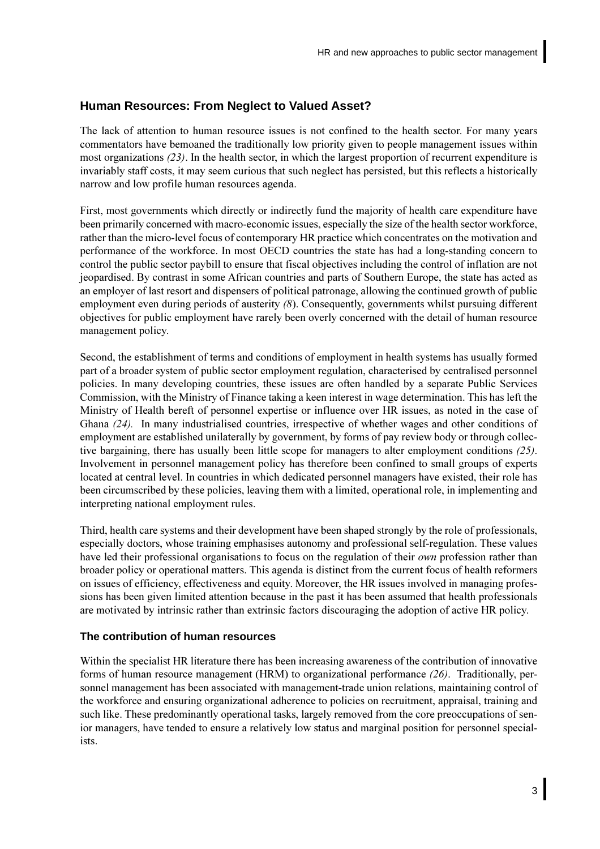## <span id="page-10-0"></span>Human Resources: From Neglect to Valued Asset?

The lack of attention to human resource issues is not confined to the health sector. For many years commentators have bemoaned the traditionally low priority given to people management issues within most organizations  $(23)$ . In the health sector, in which the largest proportion of recurrent expenditure is invariably staff costs, it may seem curious that such neglect has persisted, but this reflects a historically narrow and low profile human resources agenda.

First, most governments which directly or indirectly fund the majority of health care expenditure have been primarily concerned with macro-economic issues, especially the size of the health sector workforce, rather than the micro-level focus of contemporary HR practice which concentrates on the motivation and performance of the workforce. In most OECD countries the state has had a long-standing concern to control the public sector paybill to ensure that fiscal objectives including the control of inflation are not jeopardised. By contrast in some African countries and parts of Southern Europe, the state has acted as an employer of last resort and dispensers of political patronage, allowing the continued growth of public employment even during periods of austerity (8). Consequently, governments whilst pursuing different objectives for public employment have rarely been overly concerned with the detail of human resource management policy.

Second, the establishment of terms and conditions of employment in health systems has usually formed part of a broader system of public sector employment regulation, characterised by centralised personnel policies. In many developing countries, these issues are often handled by a separate Public Services Commission, with the Ministry of Finance taking a keen interest in wage determination. This has left the Ministry of Health bereft of personnel expertise or influence over HR issues, as noted in the case of Ghana (24). In many industrialised countries, irrespective of whether wages and other conditions of employment are established unilaterally by government, by forms of pay review body or through collective bargaining, there has usually been little scope for managers to alter employment conditions  $(25)$ . Involvement in personnel management policy has therefore been confined to small groups of experts located at central level. In countries in which dedicated personnel managers have existed, their role has been circumscribed by these policies, leaving them with a limited, operational role, in implementing and interpreting national employment rules.

Third, health care systems and their development have been shaped strongly by the role of professionals, especially doctors, whose training emphasises autonomy and professional self-regulation. These values have led their professional organisations to focus on the regulation of their *own* profession rather than broader policy or operational matters. This agenda is distinct from the current focus of health reformers on issues of efficiency, effectiveness and equity. Moreover, the HR issues involved in managing professions has been given limited attention because in the past it has been assumed that health professionals are motivated by intrinsic rather than extrinsic factors discouraging the adoption of active HR policy.

### The contribution of human resources

Within the specialist HR literature there has been increasing awareness of the contribution of innovative forms of human resource management (HRM) to organizational performance  $(26)$ . Traditionally, personnel management has been associated with management-trade union relations, maintaining control of the workforce and ensuring organizational adherence to policies on recruitment, appraisal, training and such like. These predominantly operational tasks, largely removed from the core preoccupations of senior managers, have tended to ensure a relatively low status and marginal position for personnel specialists.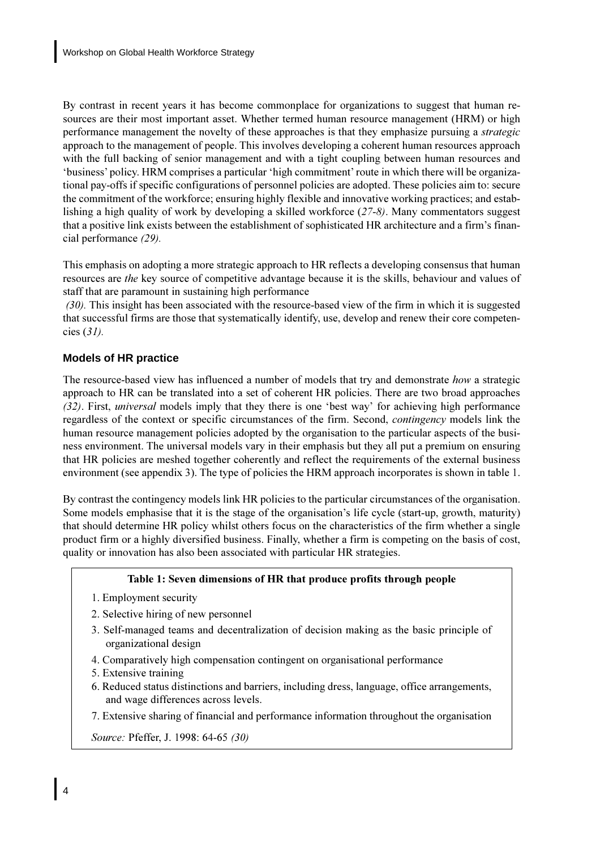<span id="page-11-0"></span>By contrast in recent years it has become commonplace for organizations to suggest that human resources are their most important asset. Whether termed human resource management (HRM) or high performance management the novelty of these approaches is that they emphasize pursuing a *strategic* approach to the management of people. This involves developing a coherent human resources approach with the full backing of senior management and with a tight coupling between human resources and 'business' policy. HRM comprises a particular 'high commitment' route in which there will be organizational pay-offs if specific configurations of personnel policies are adopted. These policies aim to: secure the commitment of the workforce; ensuring highly flexible and innovative working practices; and establishing a high quality of work by developing a skilled workforce  $(27-8)$ . Many commentators suggest that a positive link exists between the establishment of sophisticated HR architecture and a firm's financial performance (29).

This emphasis on adopting a more strategic approach to HR reflects a developing consensus that human resources are *the* key source of competitive advantage because it is the skills, behaviour and values of staff that are paramount in sustaining high performance

(30). This insight has been associated with the resource-based view of the firm in which it is suggested that successful firms are those that systematically identify, use, develop and renew their core competencies  $(31)$ .

## **Models of HR practice**

The resource-based view has influenced a number of models that try and demonstrate how a strategic approach to HR can be translated into a set of coherent HR policies. There are two broad approaches (32). First, *universal* models imply that they there is one 'best way' for achieving high performance regardless of the context or specific circumstances of the firm. Second, *contingency* models link the human resource management policies adopted by the organisation to the particular aspects of the business environment. The universal models vary in their emphasis but they all put a premium on ensuring that HR policies are meshed together coherently and reflect the requirements of the external business environment (see appendix 3). The type of policies the HRM approach incorporates is shown in table 1.

By contrast the contingency models link HR policies to the particular circumstances of the organisation. Some models emphasise that it is the stage of the organisation's life cycle (start-up, growth, maturity) that should determine HR policy whilst others focus on the characteristics of the firm whether a single product firm or a highly diversified business. Finally, whether a firm is competing on the basis of cost, quality or innovation has also been associated with particular HR strategies.

## Table 1: Seven dimensions of HR that produce profits through people

- 1. Employment security
- 2. Selective hiring of new personnel
- 3. Self-managed teams and decentralization of decision making as the basic principle of organizational design
- 4. Comparatively high compensation contingent on organisational performance
- 5. Extensive training
- 6. Reduced status distinctions and barriers, including dress, language, office arrangements, and wage differences across levels.
- 7. Extensive sharing of financial and performance information throughout the organisation

Source: Pfeffer, J. 1998: 64-65 (30)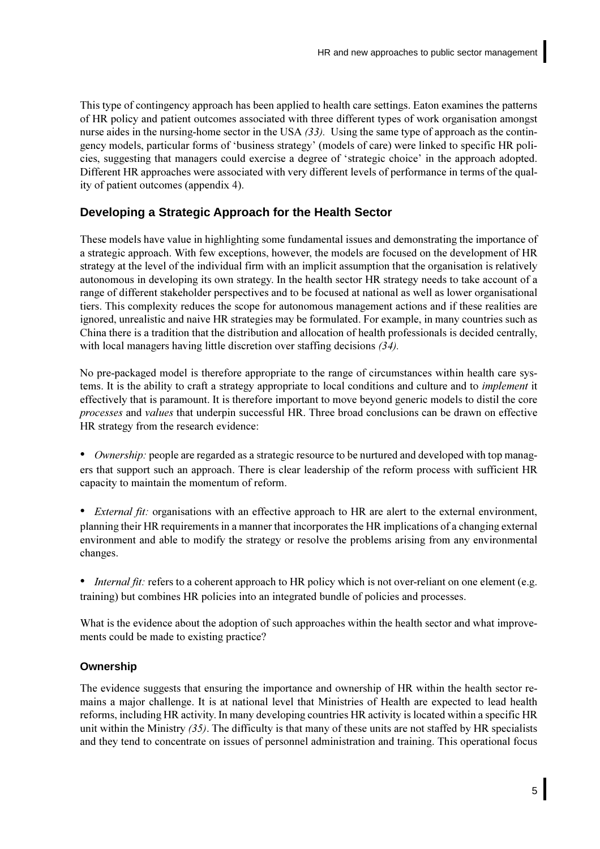<span id="page-12-0"></span>This type of contingency approach has been applied to health care settings. Eaton examines the patterns of HR policy and patient outcomes associated with three different types of work organisation amongst nurse aides in the nursing-home sector in the USA  $(33)$ . Using the same type of approach as the contingency models, particular forms of 'business strategy' (models of care) were linked to specific HR policies, suggesting that managers could exercise a degree of 'strategic choice' in the approach adopted. Different HR approaches were associated with very different levels of performance in terms of the quality of patient outcomes (appendix 4).

## Developing a Strategic Approach for the Health Sector

These models have value in highlighting some fundamental issues and demonstrating the importance of a strategic approach. With few exceptions, however, the models are focused on the development of HR strategy at the level of the individual firm with an implicit assumption that the organisation is relatively autonomous in developing its own strategy. In the health sector HR strategy needs to take account of a range of different stakeholder perspectives and to be focused at national as well as lower organisational tiers. This complexity reduces the scope for autonomous management actions and if these realities are ignored, unrealistic and naive HR strategies may be formulated. For example, in many countries such as China there is a tradition that the distribution and allocation of health professionals is decided centrally, with local managers having little discretion over staffing decisions  $(34)$ .

No pre-packaged model is therefore appropriate to the range of circumstances within health care systems. It is the ability to craft a strategy appropriate to local conditions and culture and to *implement* it effectively that is paramount. It is therefore important to move beyond generic models to distil the core processes and values that underpin successful HR. Three broad conclusions can be drawn on effective HR strategy from the research evidence:

- *Ownership:* people are regarded as a strategic resource to be nurtured and developed with top managers that support such an approach. There is clear leadership of the reform process with sufficient HR capacity to maintain the momentum of reform.
- *External fit:* organisations with an effective approach to HR are alert to the external environment, planning their HR requirements in a manner that incorporates the HR implications of a changing external environment and able to modify the strategy or resolve the problems arising from any environmental changes.
- *Internal fit:* refers to a coherent approach to HR policy which is not over-reliant on one element (e.g. training) but combines HR policies into an integrated bundle of policies and processes.

What is the evidence about the adoption of such approaches within the health sector and what improvements could be made to existing practice?

## Ownership

The evidence suggests that ensuring the importance and ownership of HR within the health sector remains a major challenge. It is at national level that Ministries of Health are expected to lead health reforms, including HR activity. In many developing countries HR activity is located within a specific HR unit within the Ministry  $(35)$ . The difficulty is that many of these units are not staffed by HR specialists and they tend to concentrate on issues of personnel administration and training. This operational focus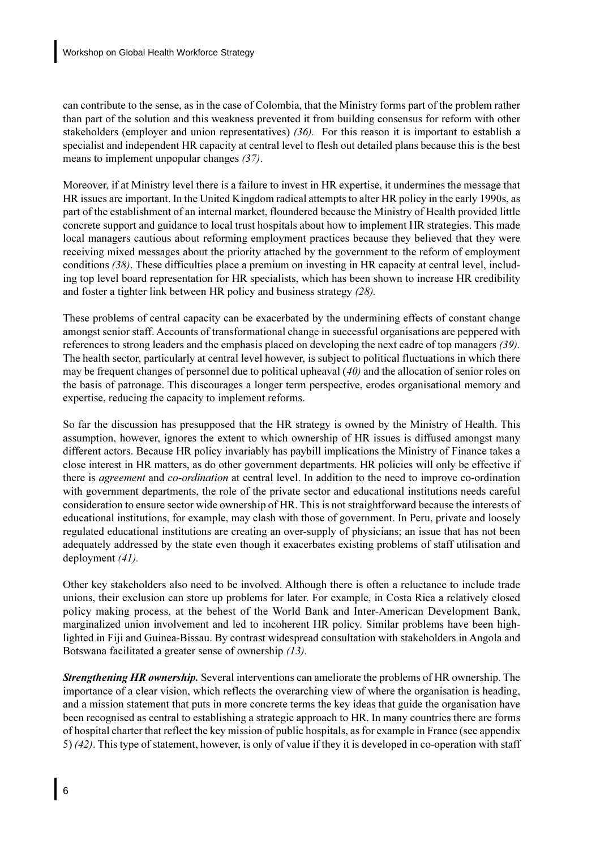can contribute to the sense, as in the case of Colombia, that the Ministry forms part of the problem rather than part of the solution and this weakness prevented it from building consensus for reform with other stakeholders (employer and union representatives)  $(36)$ . For this reason it is important to establish a specialist and independent HR capacity at central level to flesh out detailed plans because this is the best means to implement unpopular changes  $(37)$ .

Moreover, if at Ministry level there is a failure to invest in HR expertise, it undermines the message that HR issues are important. In the United Kingdom radical attempts to alter HR policy in the early 1990s, as part of the establishment of an internal market, floundered because the Ministry of Health provided little concrete support and guidance to local trust hospitals about how to implement HR strategies. This made local managers cautious about reforming employment practices because they believed that they were receiving mixed messages about the priority attached by the government to the reform of employment conditions  $(38)$ . These difficulties place a premium on investing in HR capacity at central level, including top level board representation for HR specialists, which has been shown to increase HR credibility and foster a tighter link between HR policy and business strategy  $(28)$ .

These problems of central capacity can be exacerbated by the undermining effects of constant change amongst senior staff. Accounts of transformational change in successful organisations are peppered with references to strong leaders and the emphasis placed on developing the next cadre of top managers  $(39)$ . The health sector, particularly at central level however, is subject to political fluctuations in which there may be frequent changes of personnel due to political upheaval  $(40)$  and the allocation of senior roles on the basis of patronage. This discourages a longer term perspective, erodes organisational memory and expertise, reducing the capacity to implement reforms.

So far the discussion has presupposed that the HR strategy is owned by the Ministry of Health. This assumption, however, ignores the extent to which ownership of HR issues is diffused amongst many different actors. Because HR policy invariably has paybill implications the Ministry of Finance takes a close interest in HR matters, as do other government departments. HR policies will only be effective if there is *agreement* and *co-ordination* at central level. In addition to the need to improve co-ordination with government departments, the role of the private sector and educational institutions needs careful consideration to ensure sector wide ownership of HR. This is not straightforward because the interests of educational institutions, for example, may clash with those of government. In Peru, private and loosely regulated educational institutions are creating an over-supply of physicians; an issue that has not been adequately addressed by the state even though it exacerbates existing problems of staff utilisation and deployment  $(41)$ .

Other key stakeholders also need to be involved. Although there is often a reluctance to include trade unions, their exclusion can store up problems for later. For example, in Costa Rica a relatively closed policy making process, at the behest of the World Bank and Inter-American Development Bank, marginalized union involvement and led to incoherent HR policy. Similar problems have been highlighted in Fiji and Guinea-Bissau. By contrast widespread consultation with stakeholders in Angola and Botswana facilitated a greater sense of ownership (13).

**Strengthening HR ownership.** Several interventions can ameliorate the problems of HR ownership. The importance of a clear vision, which reflects the overarching view of where the organisation is heading, and a mission statement that puts in more concrete terms the key ideas that guide the organisation have been recognised as central to establishing a strategic approach to HR. In many countries there are forms of hospital charter that reflect the key mission of public hospitals, as for example in France (see appendix 5) (42). This type of statement, however, is only of value if they it is developed in co-operation with staff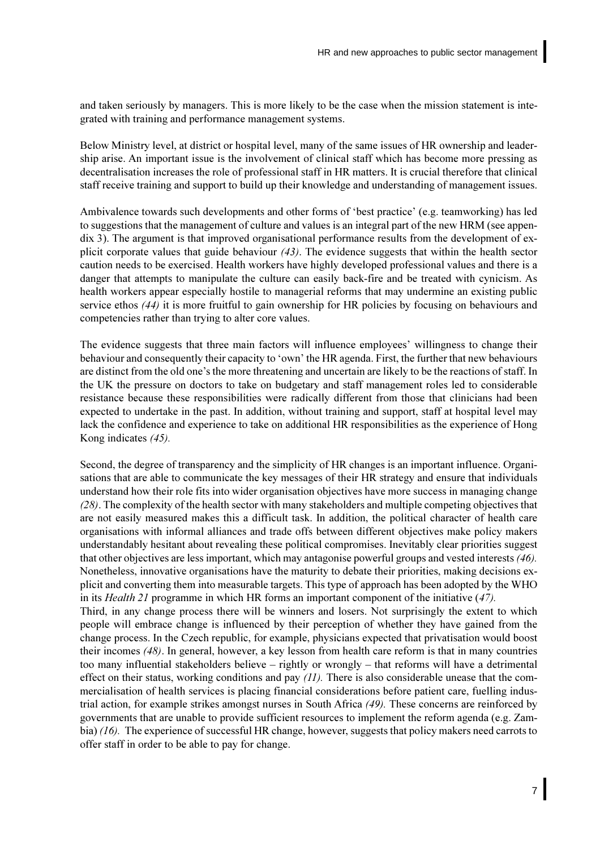and taken seriously by managers. This is more likely to be the case when the mission statement is integrated with training and performance management systems.

Below Ministry level, at district or hospital level, many of the same issues of HR ownership and leadership arise. An important issue is the involvement of clinical staff which has become more pressing as decentralisation increases the role of professional staff in HR matters. It is crucial therefore that clinical staff receive training and support to build up their knowledge and understanding of management issues.

Ambivalence towards such developments and other forms of 'best practice' (e.g. teamworking) has led to suggestions that the management of culture and values is an integral part of the new HRM (see appendix 3). The argument is that improved organisational performance results from the development of explicit corporate values that guide behaviour  $(43)$ . The evidence suggests that within the health sector caution needs to be exercised. Health workers have highly developed professional values and there is a danger that attempts to manipulate the culture can easily back-fire and be treated with cynicism. As health workers appear especially hostile to managerial reforms that may undermine an existing public service ethos  $(44)$  it is more fruitful to gain ownership for HR policies by focusing on behaviours and competencies rather than trying to alter core values.

The evidence suggests that three main factors will influence employees' willingness to change their behaviour and consequently their capacity to 'own' the HR agenda. First, the further that new behaviours are distinct from the old one's the more threatening and uncertain are likely to be the reactions of staff. In the UK the pressure on doctors to take on budgetary and staff management roles led to considerable resistance because these responsibilities were radically different from those that clinicians had been expected to undertake in the past. In addition, without training and support, staff at hospital level may lack the confidence and experience to take on additional HR responsibilities as the experience of Hong Kong indicates (45).

Second, the degree of transparency and the simplicity of HR changes is an important influence. Organisations that are able to communicate the key messages of their HR strategy and ensure that individuals understand how their role fits into wider organisation objectives have more success in managing change (28). The complexity of the health sector with many stakeholders and multiple competing objectives that are not easily measured makes this a difficult task. In addition, the political character of health care organisations with informal alliances and trade offs between different objectives make policy makers understandably hesitant about revealing these political compromises. Inevitably clear priorities suggest that other objectives are less important, which may antagonise powerful groups and vested interests  $(46)$ . Nonetheless, innovative organisations have the maturity to debate their priorities, making decisions explicit and converting them into measurable targets. This type of approach has been adopted by the WHO in its *Health 21* programme in which HR forms an important component of the initiative  $(47)$ . Third, in any change process there will be winners and losers. Not surprisingly the extent to which people will embrace change is influenced by their perception of whether they have gained from the change process. In the Czech republic, for example, physicians expected that privatisation would boost their incomes (48). In general, however, a key lesson from health care reform is that in many countries too many influential stakeholders believe – rightly or wrongly – that reforms will have a detrimental effect on their status, working conditions and pay  $(11)$ . There is also considerable unease that the commercialisation of health services is placing financial considerations before patient care, fuelling industrial action, for example strikes amongst nurses in South Africa (49). These concerns are reinforced by governments that are unable to provide sufficient resources to implement the reform agenda (e.g. Zambia)  $(16)$ . The experience of successful HR change, however, suggests that policy makers need carrots to offer staff in order to be able to pay for change.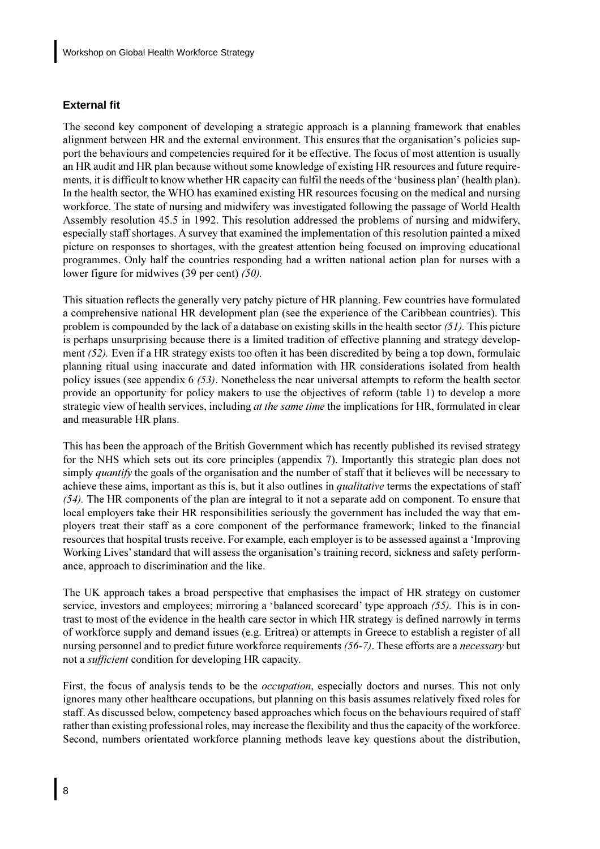## <span id="page-15-0"></span>**External fit**

The second key component of developing a strategic approach is a planning framework that enables alignment between HR and the external environment. This ensures that the organisation's policies support the behaviours and competencies required for it be effective. The focus of most attention is usually an HR audit and HR plan because without some knowledge of existing HR resources and future requirements, it is difficult to know whether HR capacity can fulfil the needs of the 'business plan' (health plan). In the health sector, the WHO has examined existing HR resources focusing on the medical and nursing workforce. The state of nursing and midwifery was investigated following the passage of World Health Assembly resolution 45.5 in 1992. This resolution addressed the problems of nursing and midwifery, especially staff shortages. A survey that examined the implementation of this resolution painted a mixed picture on responses to shortages, with the greatest attention being focused on improving educational programmes. Only half the countries responding had a written national action plan for nurses with a lower figure for midwives  $(39 \text{ per cent})$   $(50)$ .

This situation reflects the generally very patchy picture of HR planning. Few countries have formulated a comprehensive national HR development plan (see the experience of the Caribbean countries). This problem is compounded by the lack of a database on existing skills in the health sector  $(51)$ . This picture is perhaps unsurprising because there is a limited tradition of effective planning and strategy development (52). Even if a HR strategy exists too often it has been discredited by being a top down, formulaic planning ritual using inaccurate and dated information with HR considerations isolated from health policy issues (see appendix  $6$  (53). Nonetheless the near universal attempts to reform the health sector provide an opportunity for policy makers to use the objectives of reform (table 1) to develop a more strategic view of health services, including *at the same time* the implications for HR, formulated in clear and measurable HR plans.

This has been the approach of the British Government which has recently published its revised strategy for the NHS which sets out its core principles (appendix 7). Importantly this strategic plan does not simply *quantify* the goals of the organisation and the number of staff that it believes will be necessary to achieve these aims, important as this is, but it also outlines in *qualitative* terms the expectations of staff  $(54)$ . The HR components of the plan are integral to it not a separate add on component. To ensure that local employers take their HR responsibilities seriously the government has included the way that employers treat their staff as a core component of the performance framework; linked to the financial resources that hospital trusts receive. For example, each employer is to be assessed against a 'Improving Working Lives' standard that will assess the organisation's training record, sickness and safety performance, approach to discrimination and the like.

The UK approach takes a broad perspective that emphasises the impact of HR strategy on customer service, investors and employees; mirroring a 'balanced scorecard' type approach  $(55)$ . This is in contrast to most of the evidence in the health care sector in which HR strategy is defined narrowly in terms of workforce supply and demand issues (e.g. Eritrea) or attempts in Greece to establish a register of all nursing personnel and to predict future workforce requirements (56-7). These efforts are a *necessary* but not a *sufficient* condition for developing HR capacity.

First, the focus of analysis tends to be the *occupation*, especially doctors and nurses. This not only ignores many other healthcare occupations, but planning on this basis assumes relatively fixed roles for staff. As discussed below, competency based approaches which focus on the behaviours required of staff rather than existing professional roles, may increase the flexibility and thus the capacity of the workforce. Second, numbers orientated workforce planning methods leave key questions about the distribution,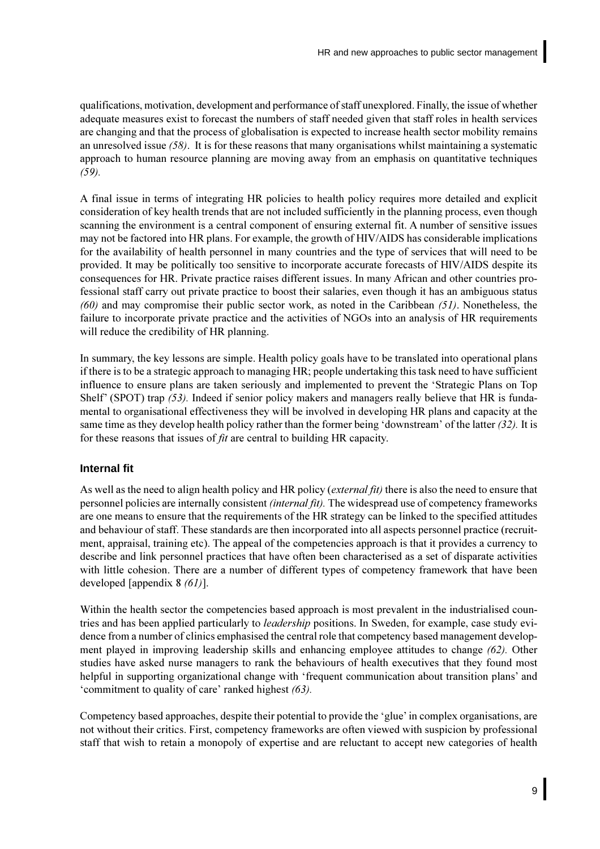<span id="page-16-0"></span>qualifications, motivation, development and performance of staff unexplored. Finally, the issue of whether adequate measures exist to forecast the numbers of staff needed given that staff roles in health services are changing and that the process of globalisation is expected to increase health sector mobility remains an unresolved issue  $(58)$ . It is for these reasons that many organisations whilst maintaining a systematic approach to human resource planning are moving away from an emphasis on quantitative techniques  $(59)$ .

A final issue in terms of integrating HR policies to health policy requires more detailed and explicit consideration of key health trends that are not included sufficiently in the planning process, even though scanning the environment is a central component of ensuring external fit. A number of sensitive issues may not be factored into HR plans. For example, the growth of HIV/AIDS has considerable implications for the availability of health personnel in many countries and the type of services that will need to be provided. It may be politically too sensitive to incorporate accurate forecasts of HIV/AIDS despite its consequences for HR. Private practice raises different issues. In many African and other countries professional staff carry out private practice to boost their salaries, even though it has an ambiguous status  $(60)$  and may compromise their public sector work, as noted in the Caribbean  $(51)$ . Nonetheless, the failure to incorporate private practice and the activities of NGOs into an analysis of HR requirements will reduce the credibility of HR planning.

In summary, the key lessons are simple. Health policy goals have to be translated into operational plans if there is to be a strategic approach to managing HR; people undertaking this task need to have sufficient influence to ensure plans are taken seriously and implemented to prevent the 'Strategic Plans on Top Shelf' (SPOT) trap (53). Indeed if senior policy makers and managers really believe that HR is fundamental to organisational effectiveness they will be involved in developing HR plans and capacity at the same time as they develop health policy rather than the former being 'downstream' of the latter  $(32)$ . It is for these reasons that issues of *fit* are central to building HR capacity.

### **Internal fit**

As well as the need to align health policy and HR policy (external fit) there is also the need to ensure that personnel policies are internally consistent *(internal fit)*. The widespread use of competency frameworks are one means to ensure that the requirements of the HR strategy can be linked to the specified attitudes and behaviour of staff. These standards are then incorporated into all aspects personnel practice (recruitment, appraisal, training etc). The appeal of the competencies approach is that it provides a currency to describe and link personnel practices that have often been characterised as a set of disparate activities with little cohesion. There are a number of different types of competency framework that have been developed [appendix  $8(61)$ ].

Within the health sector the competencies based approach is most prevalent in the industrialised countries and has been applied particularly to *leadership* positions. In Sweden, for example, case study evidence from a number of clinics emphasised the central role that competency based management development played in improving leadership skills and enhancing employee attitudes to change  $(62)$ . Other studies have asked nurse managers to rank the behaviours of health executives that they found most helpful in supporting organizational change with 'frequent communication about transition plans' and 'commitment to quality of care' ranked highest (63).

Competency based approaches, despite their potential to provide the 'glue' in complex organisations, are not without their critics. First, competency frameworks are often viewed with suspicion by professional staff that wish to retain a monopoly of expertise and are reluctant to accept new categories of health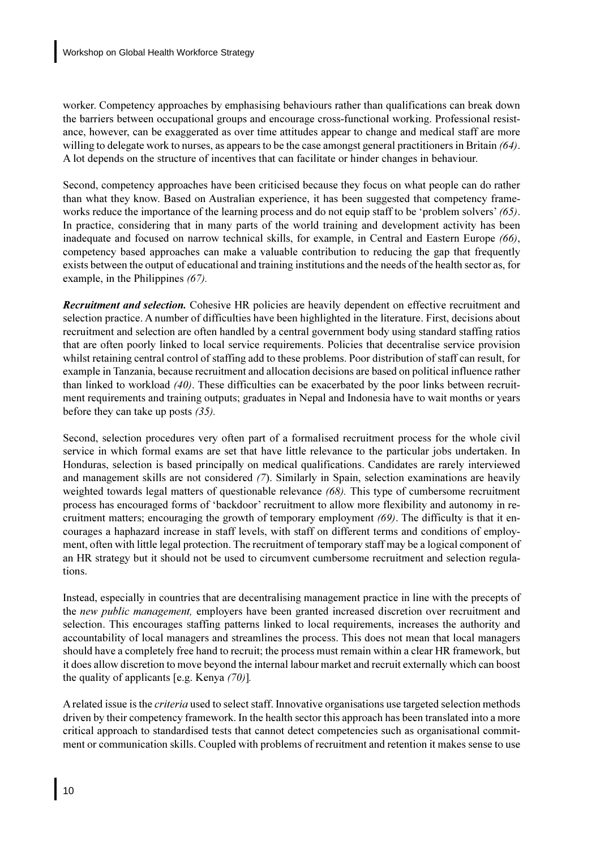worker. Competency approaches by emphasising behaviours rather than qualifications can break down the barriers between occupational groups and encourage cross-functional working. Professional resistance, however, can be exaggerated as over time attitudes appear to change and medical staff are more willing to delegate work to nurses, as appears to be the case amongst general practitioners in Britain  $(64)$ . A lot depends on the structure of incentives that can facilitate or hinder changes in behaviour.

Second, competency approaches have been criticised because they focus on what people can do rather than what they know. Based on Australian experience, it has been suggested that competency frameworks reduce the importance of the learning process and do not equip staff to be 'problem solvers'  $(65)$ . In practice, considering that in many parts of the world training and development activity has been inadequate and focused on narrow technical skills, for example, in Central and Eastern Europe (66), competency based approaches can make a valuable contribution to reducing the gap that frequently exists between the output of educational and training institutions and the needs of the health sector as, for example, in the Philippines  $(67)$ .

**Recruitment and selection.** Cohesive HR policies are heavily dependent on effective recruitment and selection practice. A number of difficulties have been highlighted in the literature. First, decisions about recruitment and selection are often handled by a central government body using standard staffing ratios that are often poorly linked to local service requirements. Policies that decentralise service provision whilst retaining central control of staffing add to these problems. Poor distribution of staff can result, for example in Tanzania, because recruitment and allocation decisions are based on political influence rather than linked to workload  $(40)$ . These difficulties can be exacerbated by the poor links between recruitment requirements and training outputs; graduates in Nepal and Indonesia have to wait months or years before they can take up posts  $(35)$ .

Second, selection procedures very often part of a formalised recruitment process for the whole civil service in which formal exams are set that have little relevance to the particular jobs undertaken. In Honduras, selection is based principally on medical qualifications. Candidates are rarely interviewed and management skills are not considered  $(7)$ . Similarly in Spain, selection examinations are heavily weighted towards legal matters of questionable relevance  $(68)$ . This type of cumbersome recruitment process has encouraged forms of 'backdoor' recruitment to allow more flexibility and autonomy in recruitment matters; encouraging the growth of temporary employment  $(69)$ . The difficulty is that it encourages a haphazard increase in staff levels, with staff on different terms and conditions of employment, often with little legal protection. The recruitment of temporary staff may be a logical component of an HR strategy but it should not be used to circumvent cumbersome recruitment and selection regulations.

Instead, especially in countries that are decentralising management practice in line with the precepts of the new public management, employers have been granted increased discretion over recruitment and selection. This encourages staffing patterns linked to local requirements, increases the authority and accountability of local managers and streamlines the process. This does not mean that local managers should have a completely free hand to recruit; the process must remain within a clear HR framework, but it does allow discretion to move beyond the internal labour market and recruit externally which can boost the quality of applicants [e.g. Kenya  $(70)$ ].

A related issue is the *criteria* used to select staff. Innovative organisations use targeted selection methods driven by their competency framework. In the health sector this approach has been translated into a more critical approach to standardised tests that cannot detect competencies such as organisational commitment or communication skills. Coupled with problems of recruitment and retention it makes sense to use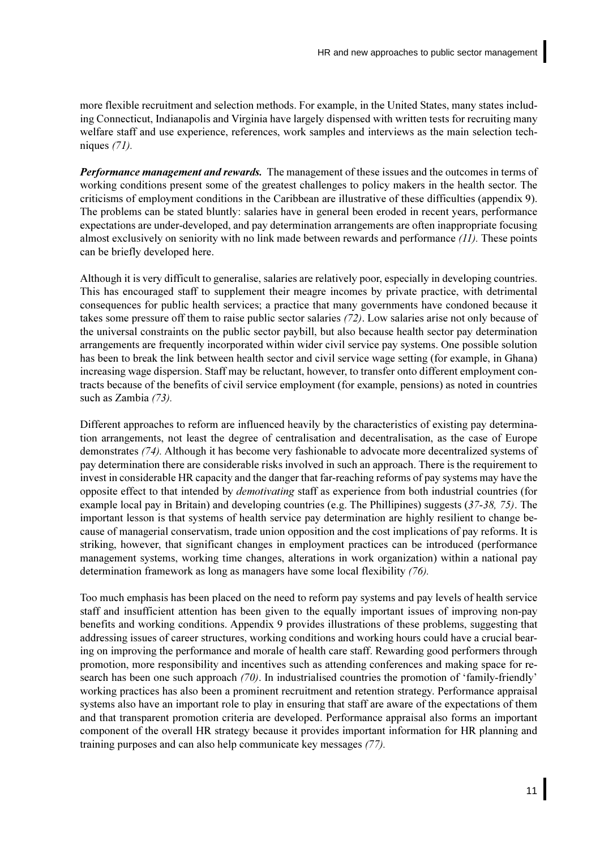more flexible recruitment and selection methods. For example, in the United States, many states including Connecticut, Indianapolis and Virginia have largely dispensed with written tests for recruiting many welfare staff and use experience, references, work samples and interviews as the main selection techniques  $(71)$ .

**Performance management and rewards.** The management of these issues and the outcomes in terms of working conditions present some of the greatest challenges to policy makers in the health sector. The criticisms of employment conditions in the Caribbean are illustrative of these difficulties (appendix 9). The problems can be stated bluntly: salaries have in general been eroded in recent years, performance expectations are under-developed, and pay determination arrangements are often inappropriate focusing almost exclusively on seniority with no link made between rewards and performance  $(11)$ . These points can be briefly developed here.

Although it is very difficult to generalise, salaries are relatively poor, especially in developing countries. This has encouraged staff to supplement their meagre incomes by private practice, with detrimental consequences for public health services; a practice that many governments have condoned because it takes some pressure off them to raise public sector salaries (72). Low salaries arise not only because of the universal constraints on the public sector paybill, but also because health sector pay determination arrangements are frequently incorporated within wider civil service pay systems. One possible solution has been to break the link between health sector and civil service wage setting (for example, in Ghana) increasing wage dispersion. Staff may be reluctant, however, to transfer onto different employment contracts because of the benefits of civil service employment (for example, pensions) as noted in countries such as Zambia  $(73)$ .

Different approaches to reform are influenced heavily by the characteristics of existing pay determination arrangements, not least the degree of centralisation and decentralisation, as the case of Europe demonstrates (74). Although it has become very fashionable to advocate more decentralized systems of pay determination there are considerable risks involved in such an approach. There is the requirement to invest in considerable HR capacity and the danger that far-reaching reforms of pay systems may have the opposite effect to that intended by *demotivating* staff as experience from both industrial countries (for example local pay in Britain) and developing countries (e.g. The Phillipines) suggests  $(37-38, 75)$ . The important lesson is that systems of health service pay determination are highly resilient to change because of managerial conservatism, trade union opposition and the cost implications of pay reforms. It is striking, however, that significant changes in employment practices can be introduced (performance management systems, working time changes, alterations in work organization) within a national pay determination framework as long as managers have some local flexibility (76).

Too much emphasis has been placed on the need to reform pay systems and pay levels of health service staff and insufficient attention has been given to the equally important issues of improving non-pay benefits and working conditions. Appendix 9 provides illustrations of these problems, suggesting that addressing issues of career structures, working conditions and working hours could have a crucial bearing on improving the performance and morale of health care staff. Rewarding good performers through promotion, more responsibility and incentives such as attending conferences and making space for research has been one such approach  $(70)$ . In industrialised countries the promotion of 'family-friendly' working practices has also been a prominent recruitment and retention strategy. Performance appraisal systems also have an important role to play in ensuring that staff are aware of the expectations of them and that transparent promotion criteria are developed. Performance appraisal also forms an important component of the overall HR strategy because it provides important information for HR planning and training purposes and can also help communicate key messages (77).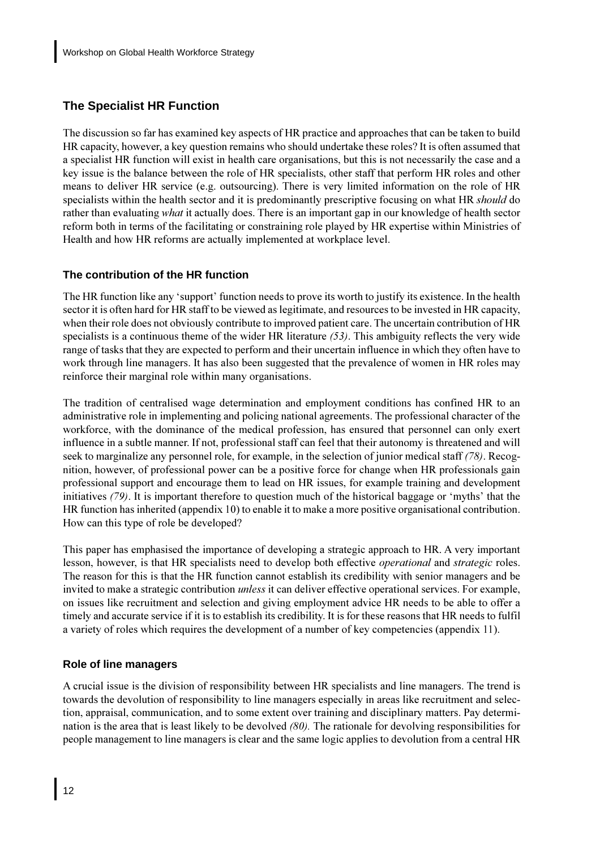## <span id="page-19-0"></span>**The Specialist HR Function**

The discussion so far has examined key aspects of HR practice and approaches that can be taken to build HR capacity, however, a key question remains who should undertake these roles? It is often assumed that a specialist HR function will exist in health care organisations, but this is not necessarily the case and a key issue is the balance between the role of HR specialists, other staff that perform HR roles and other means to deliver HR service (e.g. outsourcing). There is very limited information on the role of HR specialists within the health sector and it is predominantly prescriptive focusing on what HR *should* do rather than evaluating *what* it actually does. There is an important gap in our knowledge of health sector reform both in terms of the facilitating or constraining role played by HR expertise within Ministries of Health and how HR reforms are actually implemented at workplace level.

## The contribution of the HR function

The HR function like any 'support' function needs to prove its worth to justify its existence. In the health sector it is often hard for HR staff to be viewed as legitimate, and resources to be invested in HR capacity, when their role does not obviously contribute to improved patient care. The uncertain contribution of HR specialists is a continuous theme of the wider HR literature  $(53)$ . This ambiguity reflects the very wide range of tasks that they are expected to perform and their uncertain influence in which they often have to work through line managers. It has also been suggested that the prevalence of women in HR roles may reinforce their marginal role within many organisations.

The tradition of centralised wage determination and employment conditions has confined HR to an administrative role in implementing and policing national agreements. The professional character of the workforce, with the dominance of the medical profession, has ensured that personnel can only exert influence in a subtle manner. If not, professional staff can feel that their autonomy is threatened and will seek to marginalize any personnel role, for example, in the selection of junior medical staff (78). Recognition, however, of professional power can be a positive force for change when HR professionals gain professional support and encourage them to lead on HR issues, for example training and development initiatives (79). It is important therefore to question much of the historical baggage or 'myths' that the HR function has inherited (appendix 10) to enable it to make a more positive organisational contribution. How can this type of role be developed?

This paper has emphasised the importance of developing a strategic approach to HR. A very important lesson, however, is that HR specialists need to develop both effective *operational* and *strategic* roles. The reason for this is that the HR function cannot establish its credibility with senior managers and be invited to make a strategic contribution *unless* it can deliver effective operational services. For example, on issues like recruitment and selection and giving employment advice HR needs to be able to offer a timely and accurate service if it is to establish its credibility. It is for these reasons that HR needs to fulfil a variety of roles which requires the development of a number of key competencies (appendix 11).

## **Role of line managers**

A crucial issue is the division of responsibility between HR specialists and line managers. The trend is towards the devolution of responsibility to line managers especially in areas like recruitment and selection, appraisal, communication, and to some extent over training and disciplinary matters. Pay determination is the area that is least likely to be devolved  $(80)$ . The rationale for devolving responsibilities for people management to line managers is clear and the same logic applies to devolution from a central HR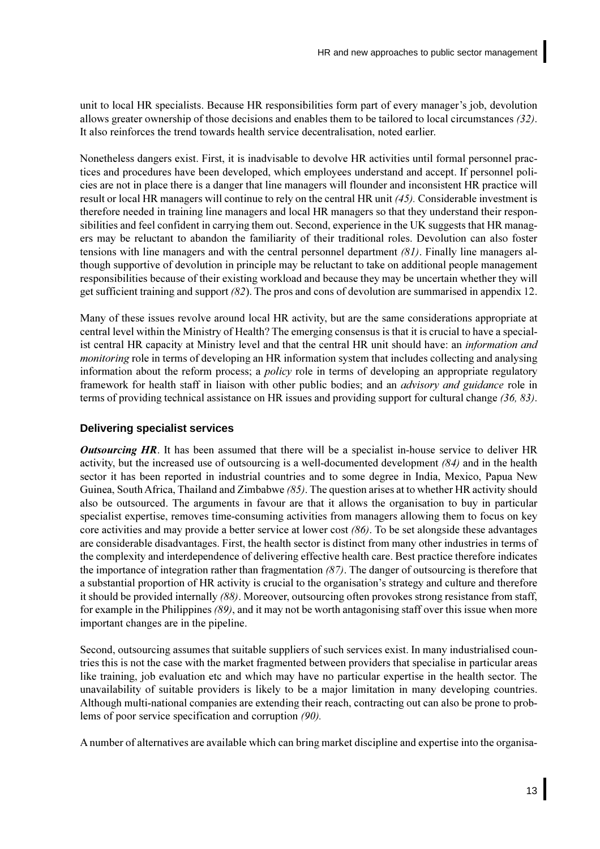<span id="page-20-0"></span>unit to local HR specialists. Because HR responsibilities form part of every manager's job, devolution allows greater ownership of those decisions and enables them to be tailored to local circumstances  $(32)$ . It also reinforces the trend towards health service decentralisation, noted earlier.

Nonetheless dangers exist. First, it is inadvisable to devolve HR activities until formal personnel practices and procedures have been developed, which employees understand and accept. If personnel policies are not in place there is a danger that line managers will flounder and inconsistent HR practice will result or local HR managers will continue to rely on the central HR unit  $(45)$ . Considerable investment is therefore needed in training line managers and local HR managers so that they understand their responsibilities and feel confident in carrying them out. Second, experience in the UK suggests that HR managers may be reluctant to abandon the familiarity of their traditional roles. Devolution can also foster tensions with line managers and with the central personnel department  $(81)$ . Finally line managers although supportive of devolution in principle may be reluctant to take on additional people management responsibilities because of their existing workload and because they may be uncertain whether they will get sufficient training and support  $(82)$ . The pros and cons of devolution are summarised in appendix 12.

Many of these issues revolve around local HR activity, but are the same considerations appropriate at central level within the Ministry of Health? The emerging consensus is that it is crucial to have a specialist central HR capacity at Ministry level and that the central HR unit should have: an *information and monitoring* role in terms of developing an HR information system that includes collecting and analysing information about the reform process; a *policy* role in terms of developing an appropriate regulatory framework for health staff in liaison with other public bodies; and an *advisory and guidance* role in terms of providing technical assistance on HR issues and providing support for cultural change  $(36, 83)$ .

### **Delivering specialist services**

**Outsourcing HR.** It has been assumed that there will be a specialist in-house service to deliver HR activity, but the increased use of outsourcing is a well-documented development  $(84)$  and in the health sector it has been reported in industrial countries and to some degree in India, Mexico, Papua New Guinea, South Africa, Thailand and Zimbabwe (85). The question arises at to whether HR activity should also be outsourced. The arguments in favour are that it allows the organisation to buy in particular specialist expertise, removes time-consuming activities from managers allowing them to focus on key core activities and may provide a better service at lower cost  $(86)$ . To be set alongside these advantages are considerable disadvantages. First, the health sector is distinct from many other industries in terms of the complexity and interdependence of delivering effective health care. Best practice therefore indicates the importance of integration rather than fragmentation  $(87)$ . The danger of outsourcing is therefore that a substantial proportion of HR activity is crucial to the organisation's strategy and culture and therefore it should be provided internally  $(88)$ . Moreover, outsourcing often provokes strong resistance from staff, for example in the Philippines  $(89)$ , and it may not be worth antagonising staff over this issue when more important changes are in the pipeline.

Second, outsourcing assumes that suitable suppliers of such services exist. In many industrialised countries this is not the case with the market fragmented between providers that specialise in particular areas like training, job evaluation etc and which may have no particular expertise in the health sector. The unavailability of suitable providers is likely to be a major limitation in many developing countries. Although multi-national companies are extending their reach, contracting out can also be prone to problems of poor service specification and corruption (90).

A number of alternatives are available which can bring market discipline and expertise into the organisa-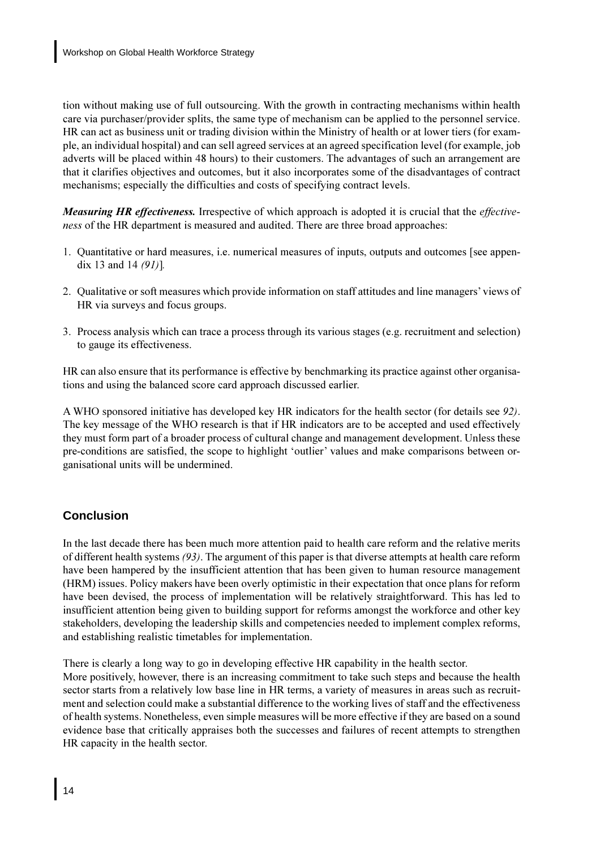<span id="page-21-0"></span>tion without making use of full outsourcing. With the growth in contracting mechanisms within health care via purchaser/provider splits, the same type of mechanism can be applied to the personnel service. HR can act as business unit or trading division within the Ministry of health or at lower tiers (for example, an individual hospital) and can sell agreed services at an agreed specification level (for example, job adverts will be placed within 48 hours) to their customers. The advantages of such an arrangement are that it clarifies objectives and outcomes, but it also incorporates some of the disadvantages of contract mechanisms; especially the difficulties and costs of specifying contract levels.

**Measuring HR effectiveness.** Irrespective of which approach is adopted it is crucial that the effective*ness* of the HR department is measured and audited. There are three broad approaches:

- 1. Quantitative or hard measures, i.e. numerical measures of inputs, outputs and outcomes [see appendix 13 and 14  $(91)$ ].
- 2. Qualitative or soft measures which provide information on staff attitudes and line managers' views of HR via surveys and focus groups.
- 3. Process analysis which can trace a process through its various stages (e.g. recruitment and selection) to gauge its effectiveness.

HR can also ensure that its performance is effective by benchmarking its practice against other organisations and using the balanced score card approach discussed earlier.

A WHO sponsored initiative has developed key HR indicators for the health sector (for details see 92). The key message of the WHO research is that if HR indicators are to be accepted and used effectively they must form part of a broader process of cultural change and management development. Unless these pre-conditions are satisfied, the scope to highlight 'outlier' values and make comparisons between organisational units will be undermined.

## Conclusion

In the last decade there has been much more attention paid to health care reform and the relative merits of different health systems  $(93)$ . The argument of this paper is that diverse attempts at health care reform have been hampered by the insufficient attention that has been given to human resource management (HRM) issues. Policy makers have been overly optimistic in their expectation that once plans for reform have been devised, the process of implementation will be relatively straightforward. This has led to insufficient attention being given to building support for reforms amongst the workforce and other key stakeholders, developing the leadership skills and competencies needed to implement complex reforms, and establishing realistic timetables for implementation.

There is clearly a long way to go in developing effective HR capability in the health sector.

More positively, however, there is an increasing commitment to take such steps and because the health sector starts from a relatively low base line in HR terms, a variety of measures in areas such as recruitment and selection could make a substantial difference to the working lives of staff and the effectiveness of health systems. Nonetheless, even simple measures will be more effective if they are based on a sound evidence base that critically appraises both the successes and failures of recent attempts to strengthen HR capacity in the health sector.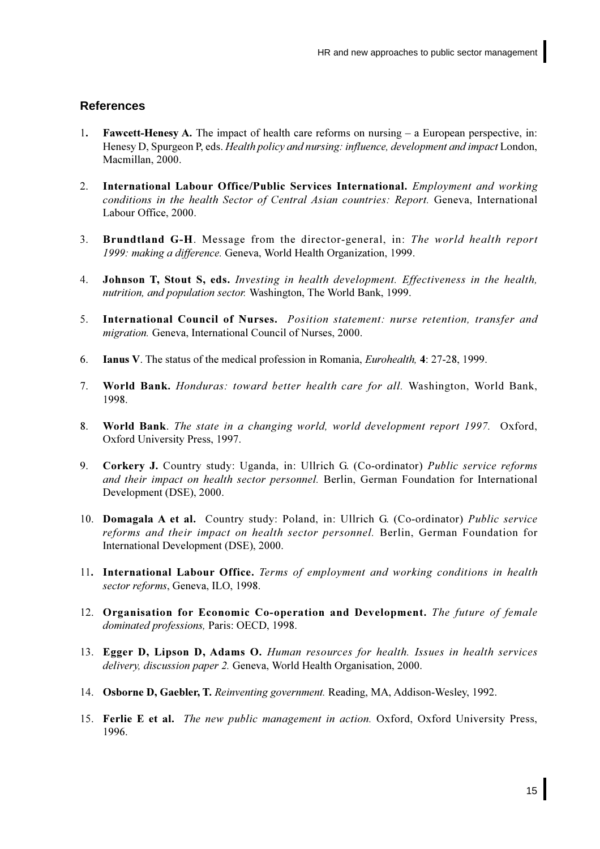### <span id="page-22-0"></span>**References**

- **Fawcett-Henesy A.** The impact of health care reforms on nursing  $-$  a European perspective, in:  $1.$ Henesy D, Spurgeon P, eds. *Health policy and nursing: influence, development and impact* London, Macmillan, 2000.
- $2<sup>1</sup>$ International Labour Office/Public Services International. Employment and working conditions in the health Sector of Central Asian countries: Report. Geneva, International Labour Office, 2000.
- $3<sub>1</sub>$ **Brundtland G-H.** Message from the director-general, in: The world health report 1999: making a difference. Geneva, World Health Organization, 1999.
- 4. Johnson T, Stout S, eds. Investing in health development. Effectiveness in the health, nutrition, and population sector. Washington, The World Bank, 1999.
- International Council of Nurses. Position statement: nurse retention, transfer and  $5<sub>1</sub>$ *migration*. Geneva, International Council of Nurses, 2000.
- 6. **Ianus V.** The status of the medical profession in Romania. *Eurohealth.* 4: 27-28, 1999.
- $7<sup>1</sup>$ World Bank. Honduras: toward better health care for all. Washington, World Bank, 1998.
- 8. World Bank. The state in a changing world, world development report 1997. Oxford, Oxford University Press, 1997.
- $9<sub>1</sub>$ Corkery J. Country study: Uganda, in: Ullrich G. (Co-ordinator) Public service reforms and their impact on health sector personnel. Berlin, German Foundation for International Development (DSE), 2000.
- 10. Domagala A et al. Country study: Poland, in: Ullrich G. (Co-ordinator) Public service reforms and their impact on health sector personnel. Berlin, German Foundation for International Development (DSE), 2000.
- 11. International Labour Office. Terms of employment and working conditions in health sector reforms, Geneva, ILO, 1998.
- 12. Organisation for Economic Co-operation and Development. The future of female dominated professions. Paris: OECD, 1998.
- 13. Egger D, Lipson D, Adams O. Human resources for health. Issues in health services delivery, discussion paper 2. Geneva, World Health Organisation, 2000.
- 14. Osborne D, Gaebler, T. Reinventing government. Reading, MA, Addison-Wesley, 1992.
- 15. Ferlie E et al. The new public management in action. Oxford, Oxford University Press, 1996.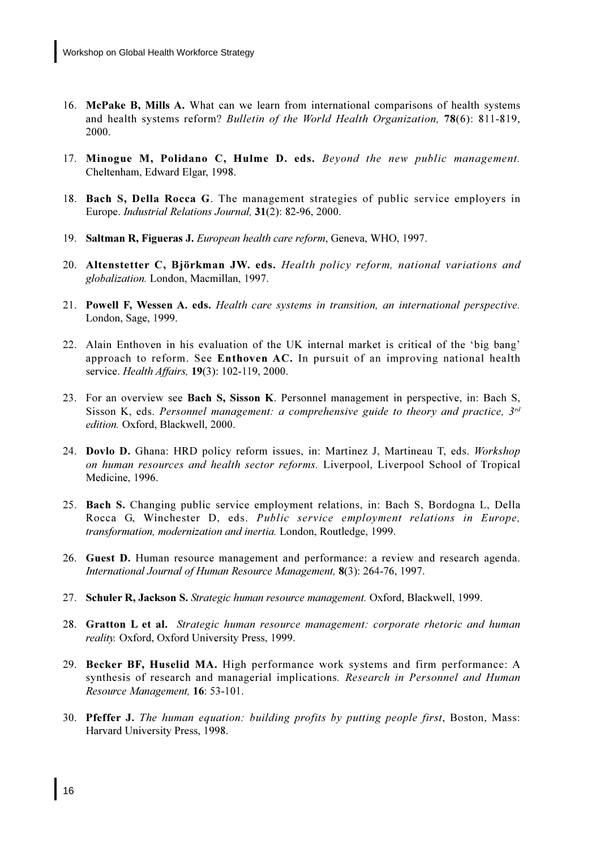- 16. McPake B, Mills A. What can we learn from international comparisons of health systems and health systems reform? Bulletin of the World Health Organization, 78(6): 811-819, 2000.
- 17. Minogue M, Polidano C, Hulme D. eds. Beyond the new public management. Cheltenham, Edward Elgar, 1998.
- 18. Bach S, Della Rocca G. The management strategies of public service employers in Europe. Industrial Relations Journal, 31(2): 82-96, 2000.
- 19. Saltman R, Figueras J. European health care reform, Geneva, WHO, 1997.
- 20. Altenstetter C, Björkman JW. eds. Health policy reform, national variations and globalization. London, Macmillan, 1997.
- 21. Powell F, Wessen A. eds. Health care systems in transition, an international perspective. London, Sage, 1999.
- 22. Alain Enthoven in his evaluation of the UK internal market is critical of the 'big bang' approach to reform. See Enthoven AC. In pursuit of an improving national health service. Health Affairs, 19(3): 102-119, 2000.
- 23. For an overview see Bach S, Sisson K. Personnel management in perspective, in: Bach S, Sisson K, eds. Personnel management: a comprehensive guide to theory and practice,  $3^{rd}$ edition. Oxford, Blackwell, 2000.
- 24. Dovlo D. Ghana: HRD policy reform issues, in: Martinez J, Martineau T, eds. Workshop on human resources and health sector reforms. Liverpool, Liverpool School of Tropical Medicine, 1996.
- 25. Bach S. Changing public service employment relations, in: Bach S, Bordogna L, Della Rocca G, Winchester D, eds. Public service employment relations in Europe, *transformation, modernization and inertia.* London, Routledge, 1999.
- 26. Guest D. Human resource management and performance: a review and research agenda. International Journal of Human Resource Management, 8(3): 264-76, 1997.
- 27. Schuler R, Jackson S. Strategic human resource management. Oxford, Blackwell, 1999.
- 28. Gratton L et al. Strategic human resource management: corporate rhetoric and human reality. Oxford, Oxford University Press, 1999.
- 29. Becker BF, Huselid MA. High performance work systems and firm performance: A synthesis of research and managerial implications. Research in Personnel and Human Resource Management, 16: 53-101.
- 30. Pfeffer J. The human equation: building profits by putting people first, Boston, Mass: Harvard University Press, 1998.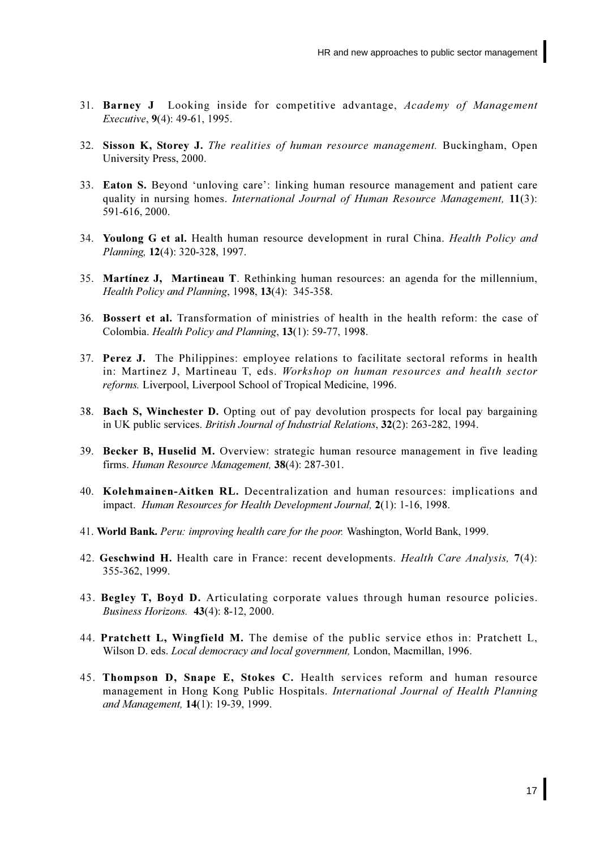- 31. Barney J Looking inside for competitive advantage, Academy of Management *Executive*, 9(4): 49-61, 1995.
- 32. Sisson K, Storey J. The realities of human resource management. Buckingham, Open University Press, 2000.
- 33. Eaton S. Beyond 'unloving care': linking human resource management and patient care quality in nursing homes. International Journal of Human Resource Management, 11(3): 591-616, 2000.
- 34. Youlong G et al. Health human resource development in rural China. Health Policy and Planning, 12(4): 320-328, 1997.
- 35. Martinez J, Martineau T. Rethinking human resources: an agenda for the millennium, Health Policy and Planning, 1998, 13(4): 345-358.
- 36. Bossert et al. Transformation of ministries of health in the health reform: the case of Colombia. Health Policy and Planning, 13(1): 59-77, 1998.
- 37. Perez J. The Philippines: employee relations to facilitate sectoral reforms in health in: Martinez J, Martineau T, eds. Workshop on human resources and health sector *reforms.* Liverpool, Liverpool School of Tropical Medicine, 1996.
- 38. Bach S, Winchester D. Opting out of pay devolution prospects for local pay bargaining in UK public services. British Journal of Industrial Relations, 32(2): 263-282, 1994.
- 39. Becker B, Huselid M. Overview: strategic human resource management in five leading firms. Human Resource Management, 38(4): 287-301.
- 40. Kolehmainen-Aitken RL. Decentralization and human resources: implications and impact. Human Resources for Health Development Journal, 2(1): 1-16, 1998.
- 41. World Bank. *Peru: improving health care for the poor.* Washington, World Bank, 1999.
- 42. Geschwind H. Health care in France: recent developments. *Health Care Analysis*, 7(4): 355-362, 1999.
- 43. Begley T, Boyd D. Articulating corporate values through human resource policies. Business Horizons. 43(4): 8-12, 2000.
- 44. Pratchett L, Wingfield M. The demise of the public service ethos in: Pratchett L, Wilson D. eds. *Local democracy and local government*, London, Macmillan, 1996.
- 45. Thompson D, Snape E, Stokes C. Health services reform and human resource management in Hong Kong Public Hospitals. International Journal of Health Planning and Management. 14(1): 19-39, 1999.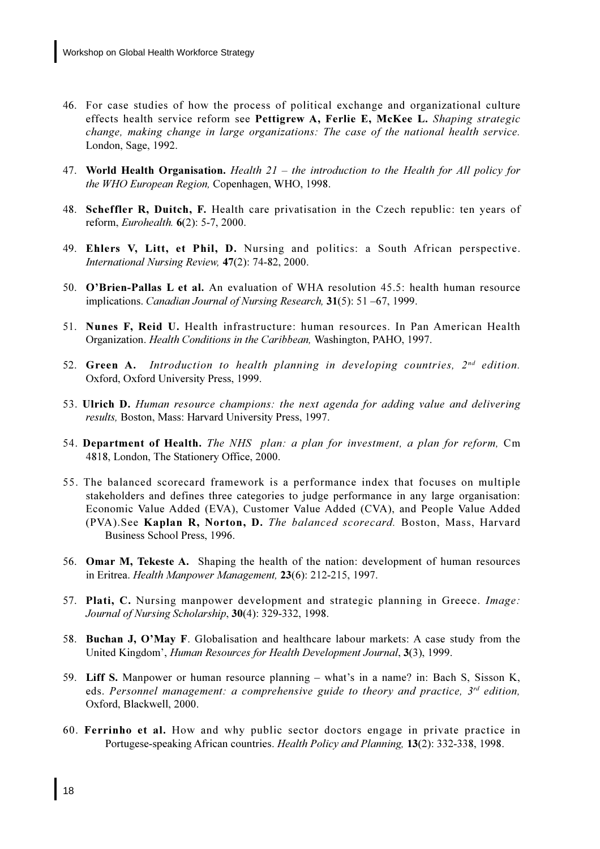- 46. For case studies of how the process of political exchange and organizational culture effects health service reform see Pettigrew A, Ferlie E, McKee L. Shaping strategic change, making change in large organizations: The case of the national health service. London, Sage, 1992.
- 47. World Health Organisation. Health  $21$  the introduction to the Health for All policy for the WHO European Region, Copenhagen, WHO, 1998.
- 48. Scheffler R, Duitch, F. Health care privatisation in the Czech republic: ten years of reform, *Eurohealth.*  $6(2)$ : 5-7, 2000.
- 49. Ehlers V, Litt, et Phil, D. Nursing and politics: a South African perspective. International Nursing Review, 47(2): 74-82, 2000.
- 50. O'Brien-Pallas L et al. An evaluation of WHA resolution 45.5: health human resource implications. Canadian Journal of Nursing Research, 31(5): 51 -67, 1999.
- 51. Nunes F, Reid U. Health infrastructure: human resources. In Pan American Health Organization. Health Conditions in the Caribbean, Washington, PAHO, 1997.
- 52. Green A. Introduction to health planning in developing countries,  $2^{nd}$  edition. Oxford, Oxford University Press, 1999.
- 53. Ulrich D. Human resource champions: the next agenda for adding value and delivering results, Boston, Mass: Harvard University Press, 1997.
- 54. Department of Health. The NHS plan: a plan for investment, a plan for reform, Cm 4818, London, The Stationery Office, 2000.
- 55. The balanced scorecard framework is a performance index that focuses on multiple stakeholders and defines three categories to judge performance in any large organisation: Economic Value Added (EVA), Customer Value Added (CVA), and People Value Added (PVA). See Kaplan R, Norton, D. The balanced scorecard. Boston, Mass, Harvard Business School Press, 1996.
- 56. Omar M, Tekeste A. Shaping the health of the nation: development of human resources in Eritrea. Health Manpower Management, 23(6): 212-215, 1997.
- 57. Plati, C. Nursing manpower development and strategic planning in Greece. Image: Journal of Nursing Scholarship, 30(4): 329-332, 1998.
- 58. Buchan J, O'May F. Globalisation and healthcare labour markets: A case study from the United Kingdom', Human Resources for Health Development Journal, 3(3), 1999.
- 59. Liff S. Manpower or human resource planning what's in a name? in: Bach S, Sisson K, eds. Personnel management: a comprehensive guide to theory and practice,  $3^{rd}$  edition, Oxford, Blackwell, 2000.
- 60. Ferrinho et al. How and why public sector doctors engage in private practice in Portugese-speaking African countries. Health Policy and Planning, 13(2): 332-338, 1998.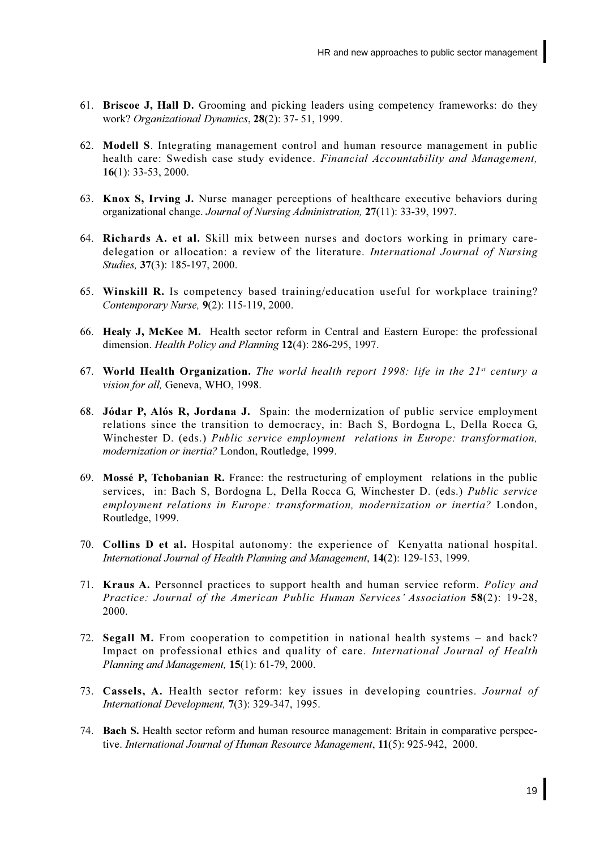- 61. Briscoe J, Hall D. Grooming and picking leaders using competency frameworks: do they work? Organizational Dynamics, 28(2): 37-51, 1999.
- 62. Modell S. Integrating management control and human resource management in public health care: Swedish case study evidence. Financial Accountability and Management,  $16(1)$ : 33-53, 2000.
- 63. Knox S, Irving J. Nurse manager perceptions of healthcare executive behaviors during organizational change. Journal of Nursing Administration, 27(11): 33-39, 1997.
- 64. Richards A. et al. Skill mix between nurses and doctors working in primary caredelegation or allocation: a review of the literature. International Journal of Nursing Studies, 37(3): 185-197, 2000.
- 65. Winskill R. Is competency based training/education useful for workplace training? Contemporary Nurse, 9(2): 115-119, 2000.
- 66. Healy J, McKee M. Health sector reform in Central and Eastern Europe: the professional dimension. Health Policy and Planning 12(4): 286-295, 1997.
- 67. World Health Organization. The world health report 1998: life in the  $21^{st}$  century a vision for all. Geneva, WHO, 1998.
- 68. Jódar P, Alós R, Jordana J. Spain: the modernization of public service employment relations since the transition to democracy, in: Bach S, Bordogna L, Della Rocca G, Winchester D. (eds.) Public service employment relations in Europe: transformation. modernization or inertia? London, Routledge, 1999.
- 69. Mossé P, Tchobanian R. France: the restructuring of employment relations in the public services, in: Bach S, Bordogna L, Della Rocca G, Winchester D. (eds.) Public service employment relations in Europe: transformation, modernization or inertia? London, Routledge, 1999.
- 70. Collins D et al. Hospital autonomy: the experience of Kenyatta national hospital. International Journal of Health Planning and Management, 14(2): 129-153, 1999.
- 71. Kraus A. Personnel practices to support health and human service reform. Policy and Practice: Journal of the American Public Human Services' Association 58(2): 19-28, 2000.
- 72. Segall M. From cooperation to competition in national health systems and back? Impact on professional ethics and quality of care. International Journal of Health Planning and Management, 15(1): 61-79, 2000.
- 73. Cassels, A. Health sector reform: key issues in developing countries. Journal of International Development, 7(3): 329-347, 1995.
- 74. Bach S. Health sector reform and human resource management: Britain in comparative perspective. International Journal of Human Resource Management, 11(5): 925-942, 2000.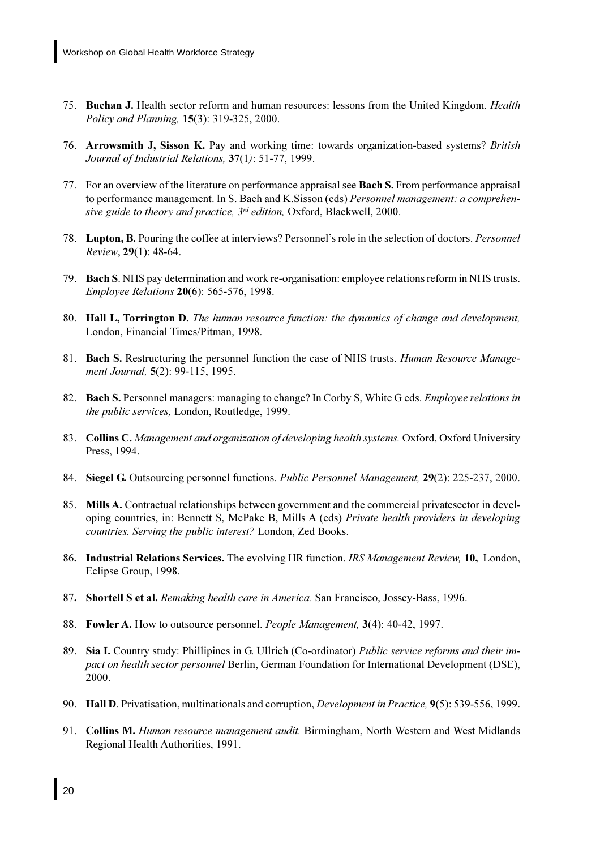- 75. Buchan J. Health sector reform and human resources: lessons from the United Kingdom. *Health* Policy and Planning, 15(3): 319-325, 2000.
- 76. Arrowsmith J, Sisson K. Pay and working time: towards organization-based systems? British Journal of Industrial Relations, 37(1): 51-77, 1999.
- 77. For an overview of the literature on performance appraisal see Bach S. From performance appraisal to performance management. In S. Bach and K. Sisson (eds) *Personnel management: a comprehen*sive guide to theory and practice, 3<sup>rd</sup> edition, Oxford, Blackwell, 2000.
- 78. Lupton, B. Pouring the coffee at interviews? Personnel's role in the selection of doctors. *Personnel* Review, 29(1): 48-64.
- 79. Bach S. NHS pay determination and work re-organisation: employee relations reform in NHS trusts. Employee Relations 20(6): 565-576, 1998.
- 80. Hall L, Torrington D. The human resource function: the dynamics of change and development, London, Financial Times/Pitman, 1998.
- 81. Bach S. Restructuring the personnel function the case of NHS trusts. *Human Resource Manage*ment Journal. 5(2): 99-115, 1995.
- 82. Bach S. Personnel managers: managing to change? In Corby S, White G eds. *Employee relations in* the public services, London, Routledge, 1999.
- 83. Collins C. Management and organization of developing health systems. Oxford, Oxford University Press, 1994.
- 84. Siegel G. Outsourcing personnel functions. *Public Personnel Management*, 29(2): 225-237, 2000.
- 85. Mills A. Contractual relationships between government and the commercial privatesector in developing countries, in: Bennett S, McPake B, Mills A (eds) Private health providers in developing *countries. Serving the public interest?* London, Zed Books.
- 86. Industrial Relations Services. The evolving HR function. IRS Management Review, 10, London, Eclipse Group, 1998.
- 87. Shortell S et al. Remaking health care in America. San Francisco, Jossey-Bass, 1996.
- 88. Fowler A. How to outsource personnel. People Management, 3(4): 40-42, 1997.
- 89. Sia I. Country study: Phillipines in G. Ullrich (Co-ordinator) Public service reforms and their im*pact on health sector personnel Berlin, German Foundation for International Development (DSE),* 2000.
- 90. Hall D. Privatisation, multinationals and corruption, *Development in Practice*, 9(5): 539-556, 1999.
- 91. Collins M. Human resource management audit. Birmingham, North Western and West Midlands Regional Health Authorities, 1991.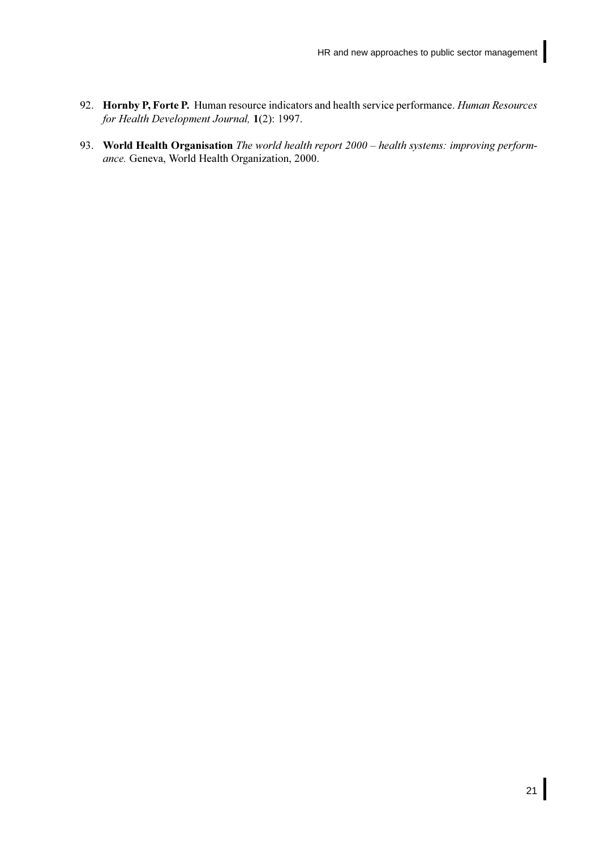- <span id="page-28-0"></span>92. Hornby P, Forte P. Human resource indicators and health service performance. Human Resources for Health Development Journal, 1(2): 1997.
- 93. World Health Organisation The world health report 2000 health systems: improving performance. Geneva, World Health Organization, 2000.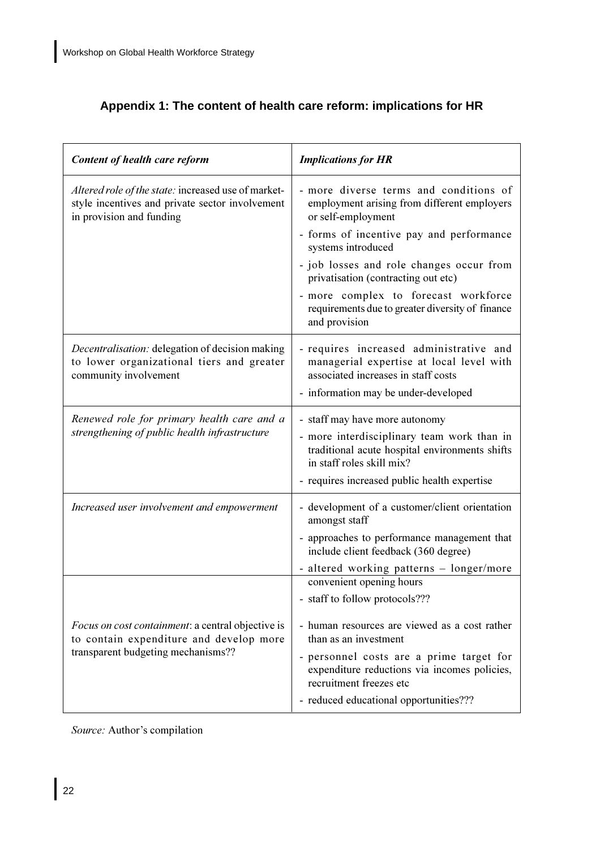## Appendix 1: The content of health care reform: implications for HR

| Content of health care reform                                                                                                             | <b>Implications for HR</b>                                                                                                                                                                                                                                  |  |
|-------------------------------------------------------------------------------------------------------------------------------------------|-------------------------------------------------------------------------------------------------------------------------------------------------------------------------------------------------------------------------------------------------------------|--|
| Altered role of the state: increased use of market-<br>style incentives and private sector involvement<br>in provision and funding        | - more diverse terms and conditions of<br>employment arising from different employers<br>or self-employment                                                                                                                                                 |  |
|                                                                                                                                           | - forms of incentive pay and performance<br>systems introduced                                                                                                                                                                                              |  |
|                                                                                                                                           | - job losses and role changes occur from<br>privatisation (contracting out etc)                                                                                                                                                                             |  |
|                                                                                                                                           | - more complex to forecast workforce<br>requirements due to greater diversity of finance<br>and provision                                                                                                                                                   |  |
| Decentralisation: delegation of decision making<br>to lower organizational tiers and greater<br>community involvement                     | - requires increased administrative and<br>managerial expertise at local level with<br>associated increases in staff costs<br>- information may be under-developed                                                                                          |  |
| Renewed role for primary health care and a<br>strengthening of public health infrastructure                                               | - staff may have more autonomy<br>- more interdisciplinary team work than in<br>traditional acute hospital environments shifts<br>in staff roles skill mix?<br>- requires increased public health expertise                                                 |  |
| Increased user involvement and empowerment                                                                                                | - development of a customer/client orientation<br>amongst staff<br>- approaches to performance management that<br>include client feedback (360 degree)<br>- altered working patterns - longer/more                                                          |  |
| <i>Focus on cost containment: a central objective is</i><br>to contain expenditure and develop more<br>transparent budgeting mechanisms?? | convenient opening hours<br>- staff to follow protocols???<br>- human resources are viewed as a cost rather<br>than as an investment<br>- personnel costs are a prime target for<br>expenditure reductions via incomes policies,<br>recruitment freezes etc |  |
|                                                                                                                                           | - reduced educational opportunities???                                                                                                                                                                                                                      |  |

Source: Author's compilation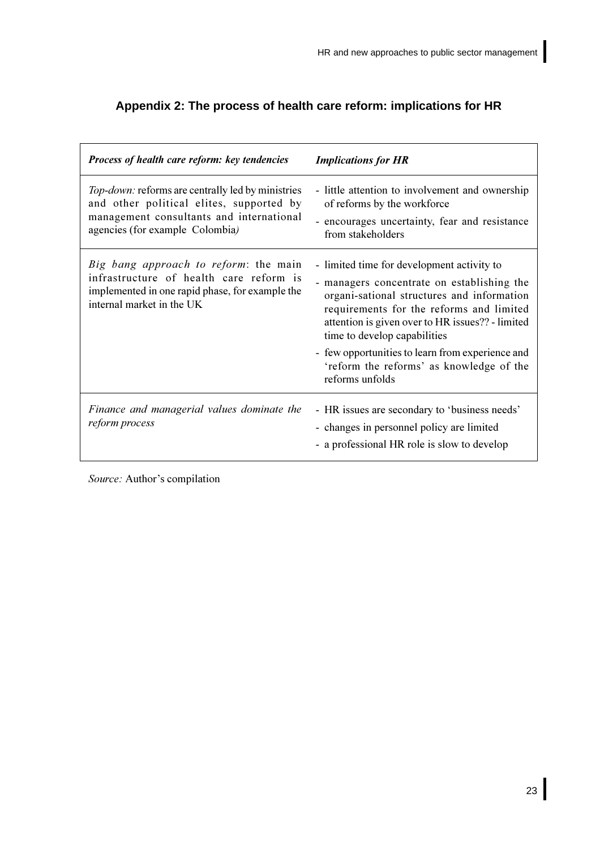| <b>Process of health care reform: key tendencies</b>                                                                                                                                | <b>Implications for HR</b>                                                                                                                                                                                                                                             |
|-------------------------------------------------------------------------------------------------------------------------------------------------------------------------------------|------------------------------------------------------------------------------------------------------------------------------------------------------------------------------------------------------------------------------------------------------------------------|
| <i>Top-down:</i> reforms are centrally led by ministries<br>and other political elites, supported by<br>management consultants and international<br>agencies (for example Colombia) | - little attention to involvement and ownership<br>of reforms by the workforce<br>- encourages uncertainty, fear and resistance<br>from stakeholders                                                                                                                   |
| Big bang approach to reform: the main<br>infrastructure of health care reform is<br>implemented in one rapid phase, for example the<br>internal market in the UK                    | - limited time for development activity to<br>- managers concentrate on establishing the<br>organi-sational structures and information<br>requirements for the reforms and limited<br>attention is given over to HR issues?? - limited<br>time to develop capabilities |
|                                                                                                                                                                                     | - few opportunities to learn from experience and<br>'reform the reforms' as knowledge of the<br>reforms unfolds                                                                                                                                                        |
| Finance and managerial values dominate the<br>reform process                                                                                                                        | - HR issues are secondary to 'business needs'<br>- changes in personnel policy are limited<br>- a professional HR role is slow to develop                                                                                                                              |

## <span id="page-30-0"></span>Appendix 2: The process of health care reform: implications for HR

Source: Author's compilation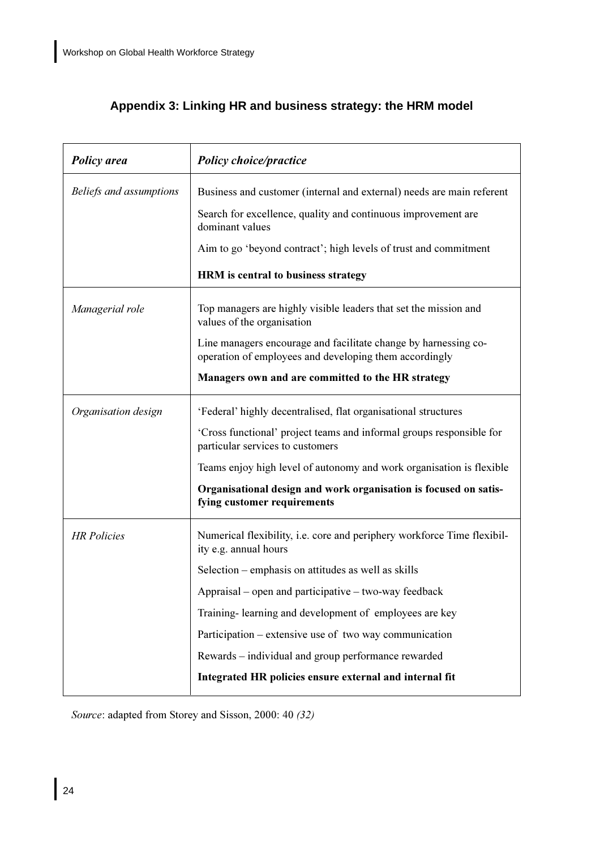## <span id="page-31-0"></span>Appendix 3: Linking HR and business strategy: the HRM model

| <b>Policy</b> area      | <b>Policy choice/practice</b>                                                                                             |  |
|-------------------------|---------------------------------------------------------------------------------------------------------------------------|--|
| Beliefs and assumptions | Business and customer (internal and external) needs are main referent                                                     |  |
|                         | Search for excellence, quality and continuous improvement are<br>dominant values                                          |  |
|                         | Aim to go 'beyond contract'; high levels of trust and commitment                                                          |  |
|                         | HRM is central to business strategy                                                                                       |  |
| Managerial role         | Top managers are highly visible leaders that set the mission and<br>values of the organisation                            |  |
|                         | Line managers encourage and facilitate change by harnessing co-<br>operation of employees and developing them accordingly |  |
|                         | Managers own and are committed to the HR strategy                                                                         |  |
| Organisation design     | 'Federal' highly decentralised, flat organisational structures                                                            |  |
|                         | 'Cross functional' project teams and informal groups responsible for<br>particular services to customers                  |  |
|                         | Teams enjoy high level of autonomy and work organisation is flexible                                                      |  |
|                         | Organisational design and work organisation is focused on satis-<br>fying customer requirements                           |  |
| <b>HR</b> Policies      | Numerical flexibility, i.e. core and periphery workforce Time flexibil-<br>ity e.g. annual hours                          |  |
|                         | Selection – emphasis on attitudes as well as skills                                                                       |  |
|                         | Appraisal – open and participative – two-way feedback                                                                     |  |
|                         | Training-learning and development of employees are key                                                                    |  |
|                         | Participation – extensive use of two way communication                                                                    |  |
|                         | Rewards – individual and group performance rewarded                                                                       |  |
|                         | Integrated HR policies ensure external and internal fit                                                                   |  |

Source: adapted from Storey and Sisson, 2000: 40 (32)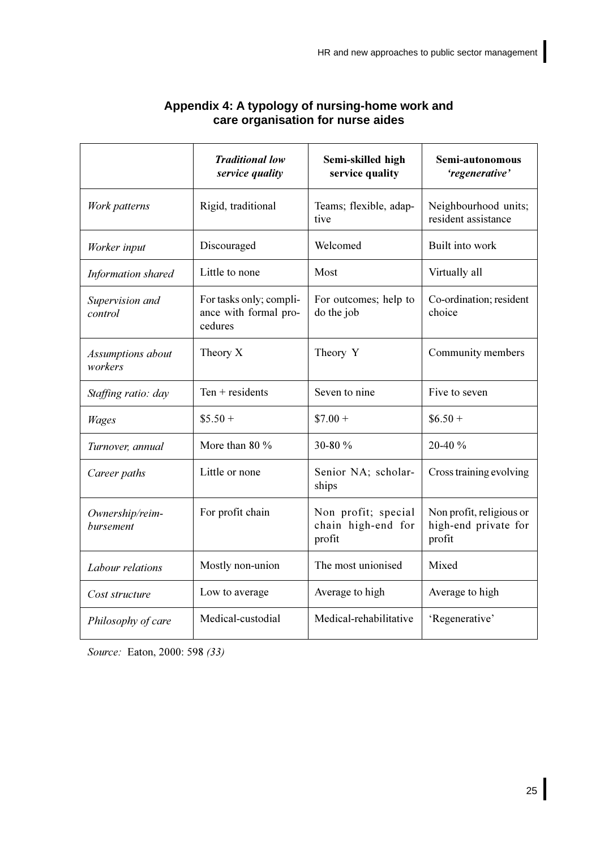<span id="page-32-0"></span>

|                              | <b>Traditional low</b><br>service quality                   | Semi-skilled high<br>service quality                | Semi-autonomous<br>'regenerative'                          |
|------------------------------|-------------------------------------------------------------|-----------------------------------------------------|------------------------------------------------------------|
| Work patterns                | Rigid, traditional                                          | Teams; flexible, adap-<br>tive                      | Neighbourhood units;<br>resident assistance                |
| Worker input                 | Discouraged                                                 | Welcomed                                            | Built into work                                            |
| Information shared           | Little to none                                              | Most                                                | Virtually all                                              |
| Supervision and<br>control   | For tasks only; compli-<br>ance with formal pro-<br>cedures | For outcomes; help to<br>do the job                 | Co-ordination; resident<br>choice                          |
| Assumptions about<br>workers | Theory X                                                    | Theory Y                                            | Community members                                          |
| Staffing ratio: day          | Ten $+$ residents                                           | Seven to nine                                       | Five to seven                                              |
| <b>Wages</b>                 | $$5.50+$                                                    | $$7.00 +$                                           | $$6.50+$                                                   |
| Turnover, annual             | More than 80 %                                              | 30-80 %                                             | 20-40 %                                                    |
| Career paths                 | Little or none                                              | Senior NA; scholar-<br>ships                        | Cross training evolving                                    |
| Ownership/reim-<br>bursement | For profit chain                                            | Non profit; special<br>chain high-end for<br>profit | Non profit, religious or<br>high-end private for<br>profit |
| Labour relations             | Mostly non-union                                            | The most unionised                                  | Mixed                                                      |
| Cost structure               | Low to average                                              | Average to high                                     | Average to high                                            |
| Philosophy of care           | Medical-custodial                                           | Medical-rehabilitative                              | 'Regenerative'                                             |

# Appendix 4: A typology of nursing-home work and<br>care organisation for nurse aides

Source: Eaton, 2000: 598 (33)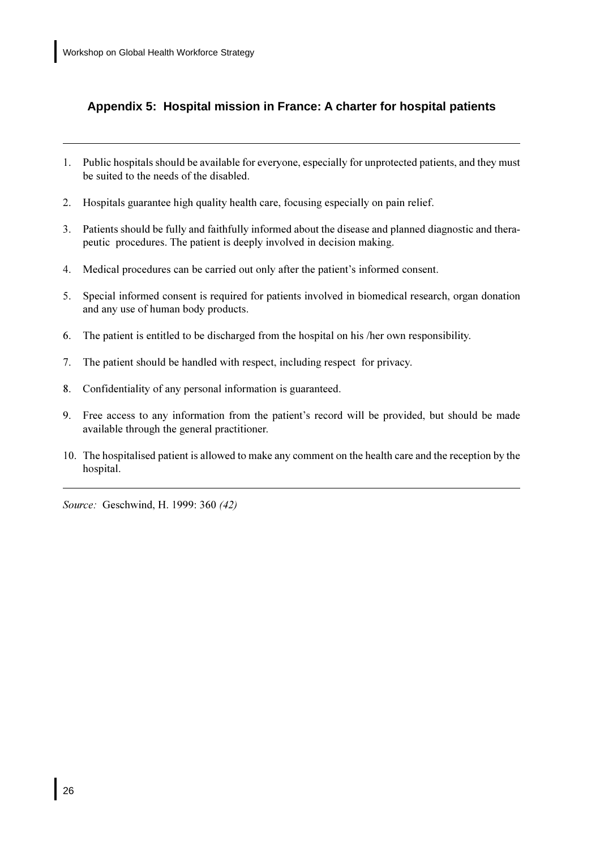## <span id="page-33-0"></span>Appendix 5: Hospital mission in France: A charter for hospital patients

- 1. Public hospitals should be available for everyone, especially for unprotected patients, and they must be suited to the needs of the disabled.
- $2.$ Hospitals guarantee high quality health care, focusing especially on pain relief.
- $3.$ Patients should be fully and faithfully informed about the disease and planned diagnostic and therapeutic procedures. The patient is deeply involved in decision making.
- $4.$ Medical procedures can be carried out only after the patient's informed consent.
- Special informed consent is required for patients involved in biomedical research, organ donation 5. and any use of human body products.
- The patient is entitled to be discharged from the hospital on his /her own responsibility. 6.
- $7.$ The patient should be handled with respect, including respect for privacy.
- $8<sub>1</sub>$ Confidentiality of any personal information is guaranteed.
- 9. Free access to any information from the patient's record will be provided, but should be made available through the general practitioner.
- 10. The hospitalised patient is allowed to make any comment on the health care and the reception by the hospital.

Source: Geschwind, H. 1999: 360 (42)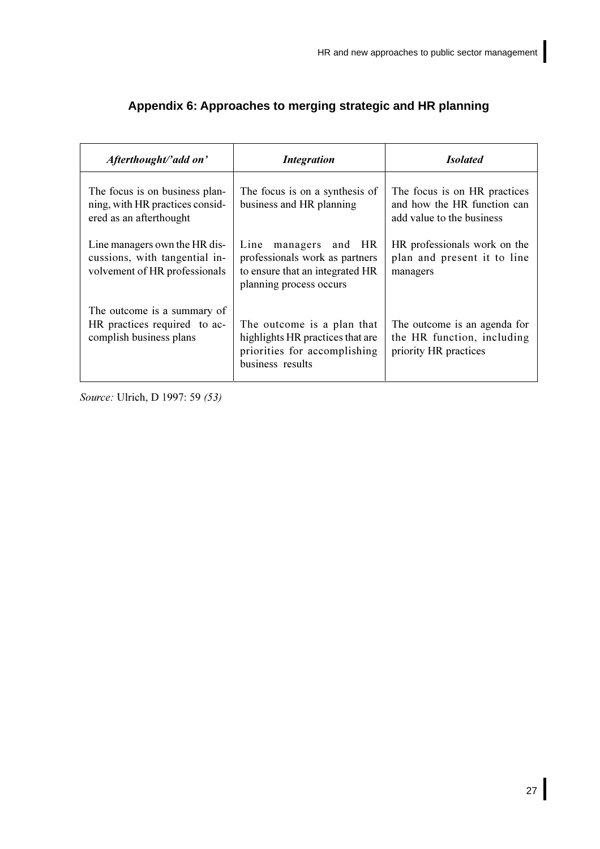| Afterthought/'add on'                                                                           | <b>Integration</b>                                                                                                         | <b>Isolated</b>                                                                          |
|-------------------------------------------------------------------------------------------------|----------------------------------------------------------------------------------------------------------------------------|------------------------------------------------------------------------------------------|
| The focus is on business plan-<br>ning, with HR practices consid-<br>ered as an afterthought    | The focus is on a synthesis of<br>business and HR planning                                                                 | The focus is on HR practices<br>and how the HR function can<br>add value to the business |
| Line managers own the HR dis-<br>cussions, with tangential in-<br>volvement of HR professionals | Line<br>and HR<br>managers<br>professionals work as partners<br>to ensure that an integrated HR<br>planning process occurs | HR professionals work on the<br>plan and present it to line<br>managers                  |
| The outcome is a summary of<br>HR practices required to ac-<br>complish business plans          | The outcome is a plan that<br>highlights HR practices that are<br>priorities for accomplishing<br>business results         | The outcome is an agenda for<br>the HR function, including<br>priority HR practices      |

## <span id="page-34-0"></span>Appendix 6: Approaches to merging strategic and HR planning

Source: Ulrich, D 1997: 59 (53)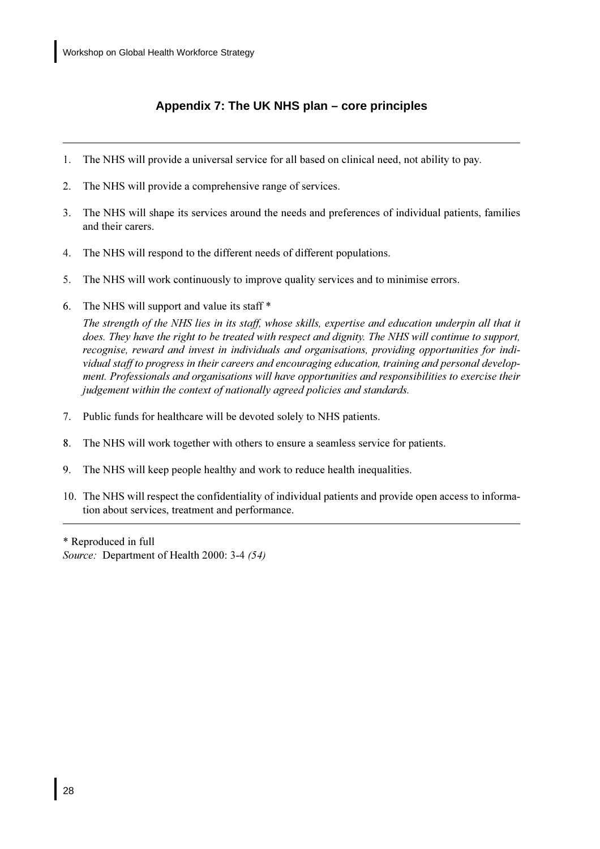## Appendix 7: The UK NHS plan - core principles

- <span id="page-35-0"></span>The NHS will provide a universal service for all based on clinical need, not ability to pay. 1.
- $\overline{2}$ . The NHS will provide a comprehensive range of services.
- The NHS will shape its services around the needs and preferences of individual patients, families  $\overline{3}$ . and their carers.
- $\overline{4}$ . The NHS will respond to the different needs of different populations.
- 5. The NHS will work continuously to improve quality services and to minimise errors.
- The NHS will support and value its staff \* 6.

The strength of the NHS lies in its staff, whose skills, expertise and education underpin all that it does. They have the right to be treated with respect and dignity. The NHS will continue to support, recognise, reward and invest in individuals and organisations, providing opportunities for individual staff to progress in their careers and encouraging education, training and personal development. Professionals and organisations will have opportunities and responsibilities to exercise their judgement within the context of nationally agreed policies and standards.

- 7. Public funds for healthcare will be devoted solely to NHS patients.
- 8. The NHS will work together with others to ensure a seamless service for patients.
- 9. The NHS will keep people healthy and work to reduce health inequalities.
- 10. The NHS will respect the confidentiality of individual patients and provide open access to information about services, treatment and performance.

\* Reproduced in full Source: Department of Health 2000: 3-4 (54)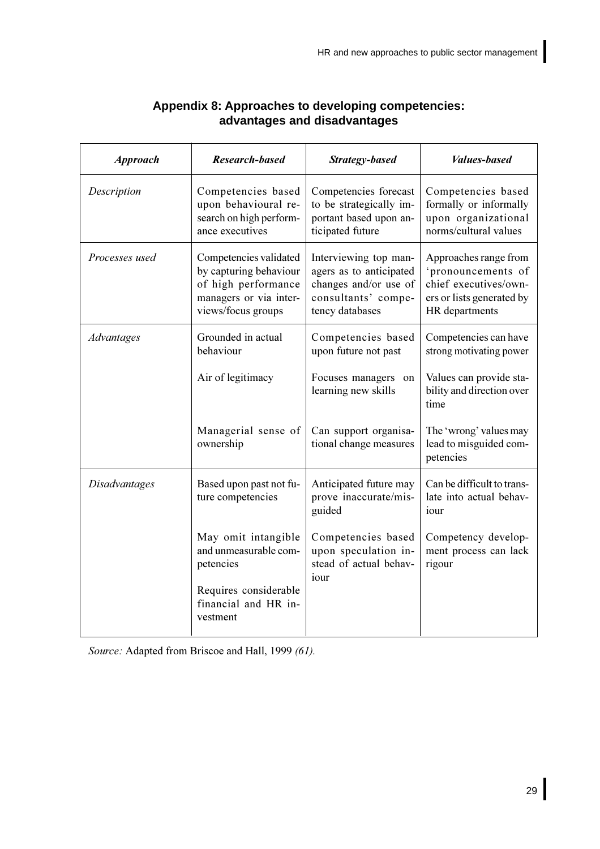<span id="page-36-0"></span>

| <b>Approach</b>      | <b>Research-based</b>                                                                                                   | Strategy-based                                                                                                      | <b>Values-based</b>                                                                                                 |
|----------------------|-------------------------------------------------------------------------------------------------------------------------|---------------------------------------------------------------------------------------------------------------------|---------------------------------------------------------------------------------------------------------------------|
| Description          | Competencies based<br>upon behavioural re-<br>search on high perform-<br>ance executives                                | Competencies forecast<br>to be strategically im-<br>portant based upon an-<br>ticipated future                      | Competencies based<br>formally or informally<br>upon organizational<br>norms/cultural values                        |
| Processes used       | Competencies validated<br>by capturing behaviour<br>of high performance<br>managers or via inter-<br>views/focus groups | Interviewing top man-<br>agers as to anticipated<br>changes and/or use of<br>consultants' compe-<br>tency databases | Approaches range from<br>'pronouncements of<br>chief executives/own-<br>ers or lists generated by<br>HR departments |
| Advantages           | Grounded in actual<br>behaviour<br>Air of legitimacy                                                                    | Competencies based<br>upon future not past<br>Focuses managers on                                                   | Competencies can have<br>strong motivating power<br>Values can provide sta-                                         |
|                      |                                                                                                                         | learning new skills                                                                                                 | bility and direction over<br>time                                                                                   |
|                      | Managerial sense of<br>ownership                                                                                        | Can support organisa-<br>tional change measures                                                                     | The 'wrong' values may<br>lead to misguided com-<br>petencies                                                       |
| <b>Disadvantages</b> | Based upon past not fu-<br>ture competencies                                                                            | Anticipated future may<br>prove inaccurate/mis-<br>guided                                                           | Can be difficult to trans-<br>late into actual behav-<br>iour                                                       |
|                      | May omit intangible<br>and unmeasurable com-<br>petencies                                                               | Competencies based<br>upon speculation in-<br>stead of actual behav-<br>iour                                        | Competency develop-<br>ment process can lack<br>rigour                                                              |
|                      | Requires considerable<br>financial and HR in-<br>vestment                                                               |                                                                                                                     |                                                                                                                     |

## **Appendix 8: Approaches to developing competencies: advantages and disadvantages**

Source: Adapted from Briscoe and Hall, 1999 (61).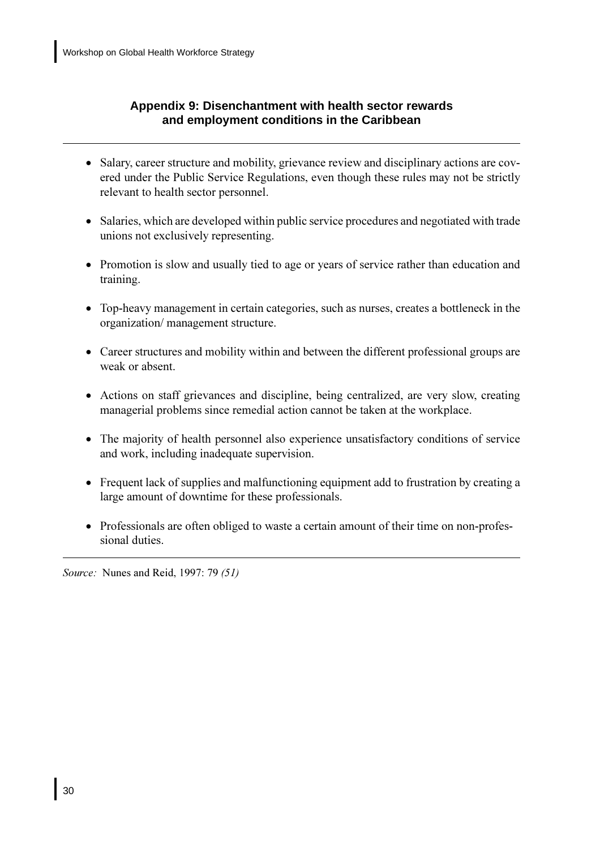## <span id="page-37-0"></span>Appendix 9: Disenchantment with health sector rewards and employment conditions in the Caribbean

- Salary, career structure and mobility, grievance review and disciplinary actions are covered under the Public Service Regulations, even though these rules may not be strictly relevant to health sector personnel.
- Salaries, which are developed within public service procedures and negotiated with trade unions not exclusively representing.
- Promotion is slow and usually tied to age or years of service rather than education and training.
- Top-heavy management in certain categories, such as nurses, creates a bottleneck in the organization/ management structure.
- Career structures and mobility within and between the different professional groups are weak or absent.
- Actions on staff grievances and discipline, being centralized, are very slow, creating managerial problems since remedial action cannot be taken at the workplace.
- The majority of health personnel also experience unsatisfactory conditions of service and work, including inadequate supervision.
- Frequent lack of supplies and malfunctioning equipment add to frustration by creating a large amount of downtime for these professionals.
- Professionals are often obliged to waste a certain amount of their time on non-professional duties.

Source: Nunes and Reid, 1997: 79 (51)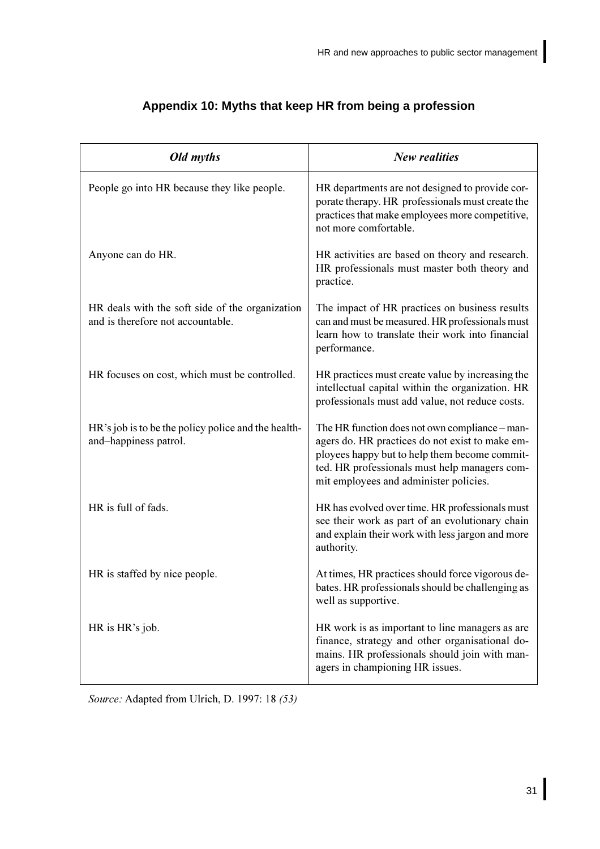<span id="page-38-0"></span>

| Old myths                                                                            | <b>New realities</b>                                                                                                                                                                                                                          |
|--------------------------------------------------------------------------------------|-----------------------------------------------------------------------------------------------------------------------------------------------------------------------------------------------------------------------------------------------|
| People go into HR because they like people.                                          | HR departments are not designed to provide cor-<br>porate therapy. HR professionals must create the<br>practices that make employees more competitive,<br>not more comfortable.                                                               |
| Anyone can do HR.                                                                    | HR activities are based on theory and research.<br>HR professionals must master both theory and<br>practice.                                                                                                                                  |
| HR deals with the soft side of the organization<br>and is therefore not accountable. | The impact of HR practices on business results<br>can and must be measured. HR professionals must<br>learn how to translate their work into financial<br>performance.                                                                         |
| HR focuses on cost, which must be controlled.                                        | HR practices must create value by increasing the<br>intellectual capital within the organization. HR<br>professionals must add value, not reduce costs.                                                                                       |
| HR's job is to be the policy police and the health-<br>and-happiness patrol.         | The HR function does not own compliance – man-<br>agers do. HR practices do not exist to make em-<br>ployees happy but to help them become commit-<br>ted. HR professionals must help managers com-<br>mit employees and administer policies. |
| HR is full of fads.                                                                  | HR has evolved over time. HR professionals must<br>see their work as part of an evolutionary chain<br>and explain their work with less jargon and more<br>authority.                                                                          |
| HR is staffed by nice people.                                                        | At times, HR practices should force vigorous de-<br>bates. HR professionals should be challenging as<br>well as supportive.                                                                                                                   |
| HR is HR's job.                                                                      | HR work is as important to line managers as are<br>finance, strategy and other organisational do-<br>mains. HR professionals should join with man-<br>agers in championing HR issues.                                                         |

## Appendix 10: Myths that keep HR from being a profession

Source: Adapted from Ulrich, D. 1997: 18 (53)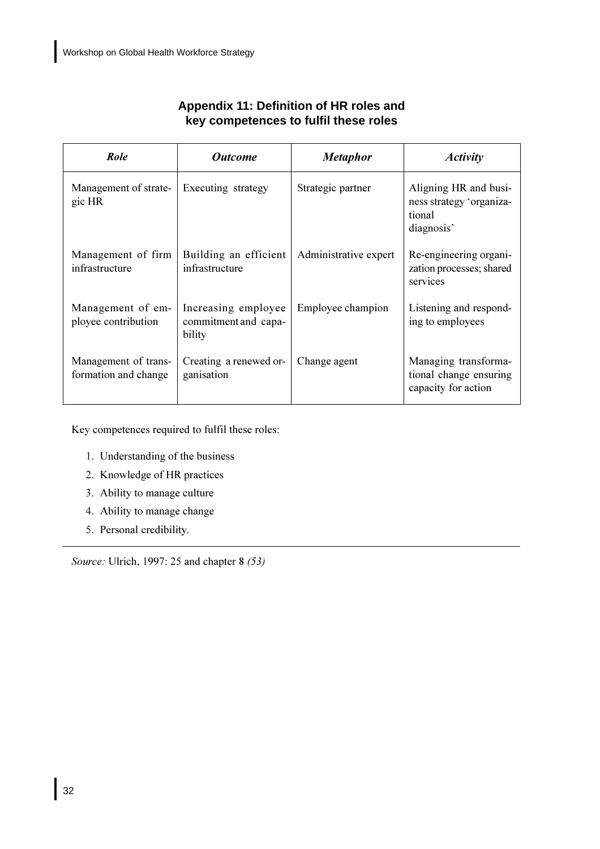<span id="page-39-0"></span>

| Role                                         | <b>Outcome</b>                                        | <b>Metaphor</b>       | <b>Activity</b>                                                           |
|----------------------------------------------|-------------------------------------------------------|-----------------------|---------------------------------------------------------------------------|
| Management of strate-<br>gic HR              | Executing strategy                                    | Strategic partner     | Aligning HR and busi-<br>ness strategy 'organiza-<br>tional<br>diagnosis' |
| Management of firm<br>infrastructure         | Building an efficient<br>infrastructure               | Administrative expert | Re-engineering organi-<br>zation processes; shared<br>services            |
| Management of em-<br>ployee contribution     | Increasing employee<br>commitment and capa-<br>bility | Employee champion     | Listening and respond-<br>ing to employees                                |
| Management of trans-<br>formation and change | Creating a renewed or-<br>ganisation                  | Change agent          | Managing transforma-<br>tional change ensuring<br>capacity for action     |

## Appendix 11: Definition of HR roles and key competences to fulfil these roles

Key competences required to fulfil these roles:

- 1. Understanding of the business
- 2. Knowledge of HR practices
- 3. Ability to manage culture
- 4. Ability to manage change
- 5. Personal credibility.

Source: Ulrich, 1997: 25 and chapter 8 (53)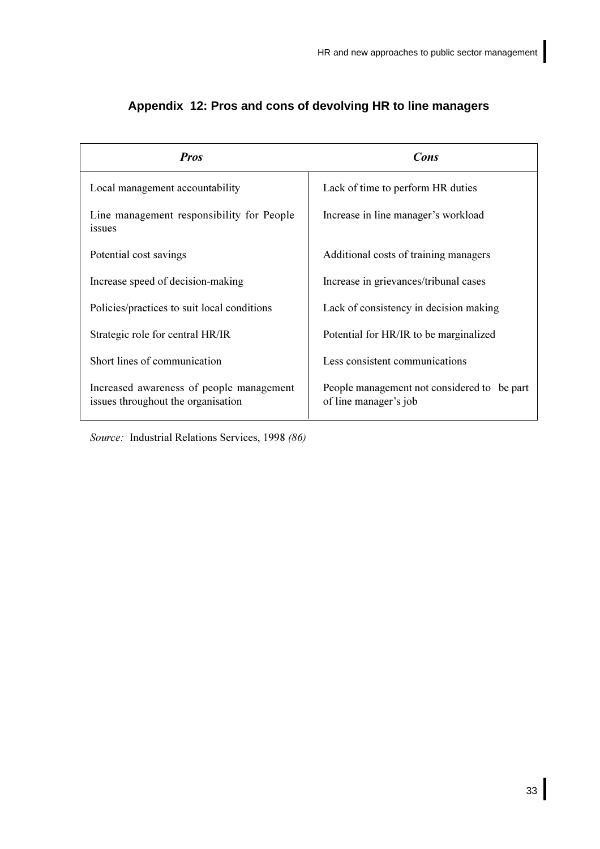| <b>Pros</b>                                                                    | Cons                                                                 |  |
|--------------------------------------------------------------------------------|----------------------------------------------------------------------|--|
| Local management accountability                                                | Lack of time to perform HR duties                                    |  |
| Line management responsibility for People<br>issues                            | Increase in line manager's workload                                  |  |
| Potential cost savings                                                         | Additional costs of training managers                                |  |
| Increase speed of decision-making                                              | Increase in grievances/tribunal cases                                |  |
| Policies/practices to suit local conditions                                    | Lack of consistency in decision making                               |  |
| Strategic role for central HR/IR                                               | Potential for HR/IR to be marginalized                               |  |
| Short lines of communication                                                   | Less consistent communications                                       |  |
| Increased awareness of people management<br>issues throughout the organisation | People management not considered to be part<br>of line manager's job |  |

## <span id="page-40-0"></span>Appendix 12: Pros and cons of devolving HR to line managers

Source: Industrial Relations Services, 1998 (86)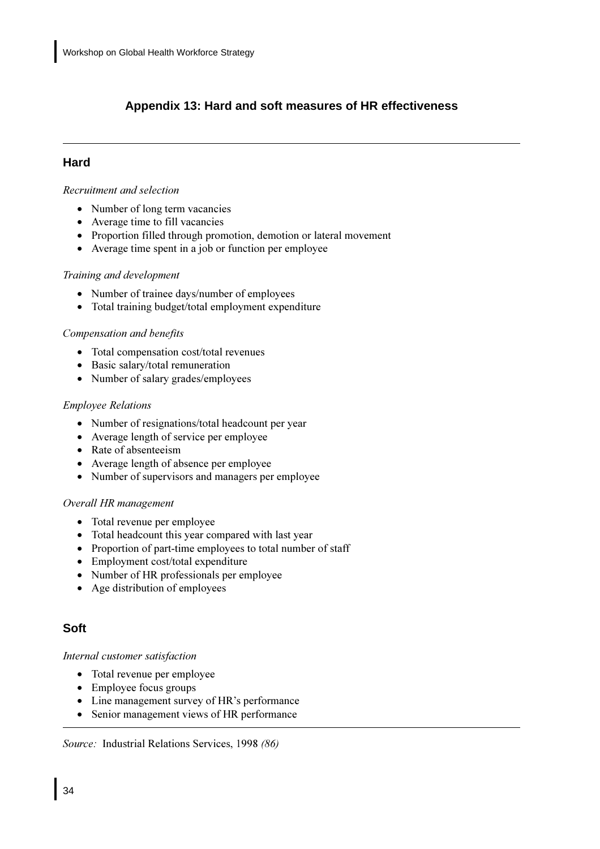## <span id="page-41-0"></span>**Appendix 13: Hard and soft measures of HR effectiveness**

## **Hard**

### $R$ *ecruitment and selection*

- Number of long term vacancies
- Average time to fill vacancies
- Proportion filled through promotion, demotion or lateral movement
- Average time spent in a job or function per employee

## **Training and development**

- Number of trainee days/number of employees
- Total training budget/total employment expenditure

### $Compensation and benefits$

- Total compensation cost/total revenues
- Basic salary/total remuneration
- Number of salary grades/employees

### *Employee Relations*

- Number of resignations/total headcount per year
- Average length of service per employee
- Rate of absenteeism
- Average length of absence per employee
- Number of supervisors and managers per employee

### *Overall HR management*

- Total revenue per employee
- Total headcount this year compared with last year
- Proportion of part-time employees to total number of staff
- Employment cost/total expenditure
- Number of HR professionals per employee
- Age distribution of employees

## **Soft**

### Internal customer satisfaction

- Total revenue per employee
- Employee focus groups
- Line management survey of HR's performance
- Senior management views of HR performance

Source: Industrial Relations Services, 1998 (86)